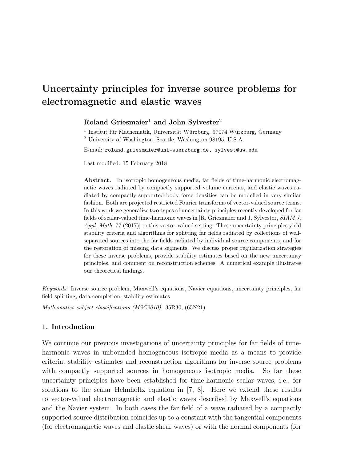# Uncertainty principles for inverse source problems for electromagnetic and elastic waves

Roland Griesmaier<sup>1</sup> and John Sylvester<sup>2</sup>

1 Institut für Mathematik, Universität Würzburg, 97074 Würzburg, Germany <sup>2</sup> University of Washington, Seattle, Washington 98195, U.S.A.

E-mail: roland.griesmaier@uni-wuerzburg.de, sylvest@uw.edu

Last modified: 15 February 2018

Abstract. In isotropic homogeneous media, far fields of time-harmonic electromagnetic waves radiated by compactly supported volume currents, and elastic waves radiated by compactly supported body force densities can be modelled in very similar fashion. Both are projected restricted Fourier transforms of vector-valued source terms. In this work we generalize two types of uncertainty principles recently developed for far fields of scalar-valued time-harmonic waves in [R. Griesmaier and J. Sylvester, *SIAM J. Appl. Math.* 77 (2017)] to this vector-valued setting. These uncertainty principles yield stability criteria and algorithms for splitting far fields radiated by collections of wellseparated sources into the far fields radiated by individual source components, and for the restoration of missing data segments. We discuss proper regularization strategies for these inverse problems, provide stability estimates based on the new uncertainty principles, and comment on reconstruction schemes. A numerical example illustrates our theoretical findings.

*Keywords*: Inverse source problem, Maxwell's equations, Navier equations, uncertainty principles, far field splitting, data completion, stability estimates

*Mathematics subject classifications (MSC2010)*: 35R30, (65N21)

# 1. Introduction

We continue our previous investigations of uncertainty principles for far fields of timeharmonic waves in unbounded homogeneous isotropic media as a means to provide criteria, stability estimates and reconstruction algorithms for inverse source problems with compactly supported sources in homogeneous isotropic media. So far these uncertainty principles have been established for time-harmonic scalar waves, i.e., for solutions to the scalar Helmholtz equation in [7, 8]. Here we extend these results to vector-valued electromagnetic and elastic waves described by Maxwell's equations and the Navier system. In both cases the far field of a wave radiated by a compactly supported source distribution coincides up to a constant with the tangential components (for electromagnetic waves and elastic shear waves) or with the normal components (for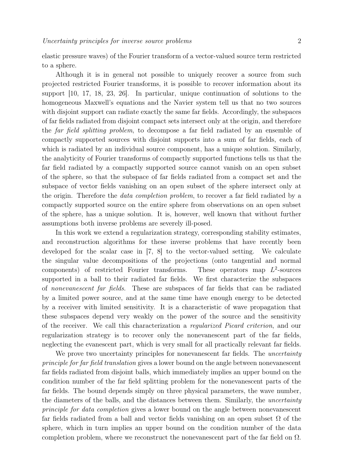elastic pressure waves) of the Fourier transform of a vector-valued source term restricted to a sphere.

Although it is in general not possible to uniquely recover a source from such projected restricted Fourier transforms, it is possible to recover information about its support [10, 17, 18, 23, 26]. In particular, unique continuation of solutions to the homogeneous Maxwell's equations and the Navier system tell us that no two sources with disjoint support can radiate exactly the same far fields. Accordingly, the subspaces of far fields radiated from disjoint compact sets intersect only at the origin, and therefore the far field splitting problem, to decompose a far field radiated by an ensemble of compactly supported sources with disjoint supports into a sum of far fields, each of which is radiated by an individual source component, has a unique solution. Similarly, the analyticity of Fourier transforms of compactly supported functions tells us that the far field radiated by a compactly supported source cannot vanish on an open subset of the sphere, so that the subspace of far fields radiated from a compact set and the subspace of vector fields vanishing on an open subset of the sphere intersect only at the origin. Therefore the *data completion problem*, to recover a far field radiated by a compactly supported source on the entire sphere from observations on an open subset of the sphere, has a unique solution. It is, however, well known that without further assumptions both inverse problems are severely ill-posed.

In this work we extend a regularization strategy, corresponding stability estimates, and reconstruction algorithms for these inverse problems that have recently been developed for the scalar case in [7, 8] to the vector-valued setting. We calculate the singular value decompositions of the projections (onto tangential and normal components) of restricted Fourier transforms. 2 -sources supported in a ball to their radiated far fields. We first characterize the subspaces of nonevanescent far fields. These are subspaces of far fields that can be radiated by a limited power source, and at the same time have enough energy to be detected by a receiver with limited sensitivity. It is a characteristic of wave propagation that these subspaces depend very weakly on the power of the source and the sensitivity of the receiver. We call this characterization a regularized Picard criterion, and our regularization strategy is to recover only the nonevanescent part of the far fields, neglecting the evanescent part, which is very small for all practically relevant far fields.

We prove two uncertainty principles for nonevanescent far fields. The *uncertainty* principle for far field translation gives a lower bound on the angle between nonevanescent far fields radiated from disjoint balls, which immediately implies an upper bound on the condition number of the far field splitting problem for the nonevanescent parts of the far fields. The bound depends simply on three physical parameters, the wave number, the diameters of the balls, and the distances between them. Similarly, the *uncertainty* principle for data completion gives a lower bound on the angle between nonevanescent far fields radiated from a ball and vector fields vanishing on an open subset  $\Omega$  of the sphere, which in turn implies an upper bound on the condition number of the data completion problem, where we reconstruct the nonevanescent part of the far field on  $\Omega$ .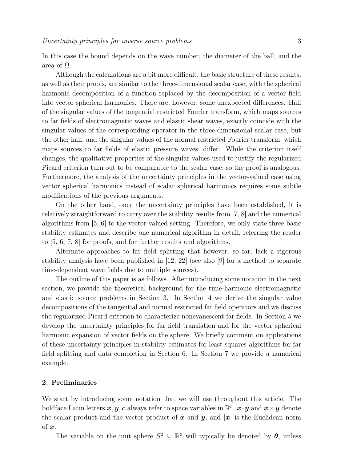In this case the bound depends on the wave number, the diameter of the ball, and the area of Ω. Although the calculations are a bit more difficult, the basic structure of these results,

as well as their proofs, are similar to the three-dimensional scalar case, with the spherical harmonic decomposition of a function replaced by the decomposition of a vector field into vector spherical harmonics. There are, however, some unexpected differences. Half of the singular values of the tangential restricted Fourier transform, which maps sources to far fields of electromagnetic waves and elastic shear waves, exactly coincide with the singular values of the corresponding operator in the three-dimensional scalar case, but the other half, and the singular values of the normal restricted Fourier transform, which maps sources to far fields of elastic pressure waves, differ. While the criterion itself changes, the qualitative properties of the singular values used to justify the regularized Picard criterion turn out to be comparable to the scalar case, so the proof is analogous. Furthermore, the analysis of the uncertainty principles in the vector-valued case using vector spherical harmonics instead of scalar spherical harmonics requires some subtle modifications of the previous arguments.

On the other hand, once the uncertainty principles have been established, it is relatively straightforward to carry over the stability results from [7, 8] and the numerical algorithms from [5, 6] to the vector-valued setting. Therefore, we only state three basic stability estimates and describe one numerical algorithm in detail, referring the reader to [5, 6, 7, 8] for proofs, and for further results and algorithms.

Alternate approaches to far field splitting that however, so far, lack a rigorous stability analysis have been published in [12, 22] (see also [9] for a method to separate time-dependent wave fields due to multiple sources).

The outline of this paper is as follows. After introducing some notation in the next section, we provide the theoretical background for the time-harmonic electromagnetic and elastic source problems in Section 3. In Section 4 we derive the singular value decompositions of the tangential and normal restricted far field operators and we discuss the regularized Picard criterion to characterize nonevanescent far fields. In Section 5 we develop the uncertainty principles for far field translation and for the vector spherical harmonic expansion of vector fields on the sphere. We briefly comment on applications of these uncertainty principles in stability estimates for least squares algorithms for far field splitting and data completion in Section 6. In Section 7 we provide a numerical example.

#### 2. Preliminaries

We start by introducing some notation that we will use throughout this article. The boldface Latin letters  $\bm{x},\bm{y},\bm{c}$  always refer to space variables in  $\mathbb{R}^3,\,\bm{x}\cdot\bm{y}$  and  $\bm{x}\times\bm{y}$  denote the scalar product and the vector product of x and y, and  $|x|$  is the Euclidean norm of  $x$ .

The variable on the unit sphere  $S^2 \subseteq \mathbb{R}^3$  will typically be denoted by  $\theta$ , unless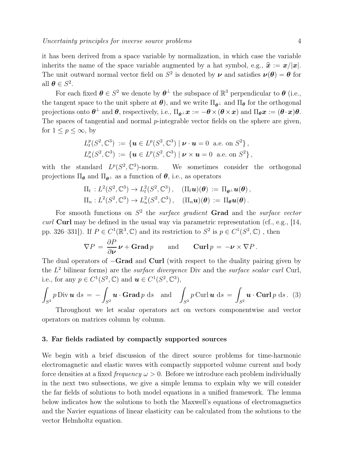it has been derived from a space variable by normalization, in which case the variable inherits the name of the space variable augmented by a hat symbol, e.g.,  $\hat{x} := x/|x|$ . The unit outward normal vector field on  $S^2$  is denoted by  $\nu$  and satisfies  $\nu(\theta) = \theta$  for all  $\boldsymbol{\theta} \in S^2$ .

For each fixed  $\theta \in S^2$  we denote by  $\theta^{\perp}$  the subspace of  $\mathbb{R}^3$  perpendicular to  $\theta$  (i.e., the tangent space to the unit sphere at  $\theta$ ), and we write  $\Pi_{\theta^{\perp}}$  and  $\Pi_{\theta}$  for the orthogonal projections onto  $\theta^{\perp}$  and  $\theta$ , respectively, i.e.,  $\Pi_{\theta^{\perp}} x := -\theta \times (\theta \times x)$  and  $\Pi_{\theta} x := (\theta \cdot x)\theta$ . The spaces of tangential and normal  $p$ -integrable vector fields on the sphere are given, for  $1 \leq p \leq \infty$ , by

$$
L_t^p(S^2, \mathbb{C}^3) := \{ \mathbf{u} \in L^p(S^2, \mathbb{C}^3) \mid \mathbf{v} \cdot \mathbf{u} = 0 \text{ a.e. on } S^2 \},
$$
  

$$
L_n^p(S^2, \mathbb{C}^3) := \{ \mathbf{u} \in L^p(S^2, \mathbb{C}^3) \mid \mathbf{v} \times \mathbf{u} = 0 \text{ a.e. on } S^2 \},
$$

with the standard  $L^p(S^2, \mathbb{C}^3)$ -norm. We sometimes consider the orthogonal projections  $\Pi_{\theta}$  and  $\Pi_{\theta^{\perp}}$  as a function of  $\theta$ , i.e., as operators

$$
\Pi_t : L^2(S^2, \mathbb{C}^3) \to L^2_t(S^2, \mathbb{C}^3), \quad (\Pi_t \mathbf{u})(\boldsymbol{\theta}) := \Pi_{\boldsymbol{\theta}^\perp} \mathbf{u}(\boldsymbol{\theta}), \Pi_n : L^2(S^2, \mathbb{C}^3) \to L^2_n(S^2, \mathbb{C}^3), \quad (\Pi_n \mathbf{u})(\boldsymbol{\theta}) := \Pi_{\boldsymbol{\theta}} \mathbf{u}(\boldsymbol{\theta}).
$$

For smooth functions on  $S^2$  the *surface gradient* Grad and the *surface vector* curl Curl may be defined in the usual way via parametric representation (cf., e.g., [14, pp. 326–331]). If  $P \in C^1(\mathbb{R}^3, \mathbb{C})$  and its restriction to  $S^2$  is  $p \in C^1(S^2, \mathbb{C})$ , then

$$
\nabla P = \frac{\partial P}{\partial \nu} \nu + \mathbf{Grad} \, p \qquad \text{and} \qquad \mathbf{Curl}\, p = -\nu \times \nabla P \, .
$$

The dual operators of  $-$ Grad and Curl (with respect to the duality pairing given by the  $L^2$  bilinear forms) are the *surface divergence* Div and the *surface scalar curl* Curl, i.e., for any  $p \in C^1(S^2, \mathbb{C})$  and  $\mathbf{u} \in C^1(S^2, \mathbb{C}^3)$ ,

$$
\int_{S^2} p \operatorname{Div} \boldsymbol{u} \, ds = - \int_{S^2} \boldsymbol{u} \cdot \mathbf{Grad} \, p \, ds \quad \text{and} \quad \int_{S^2} p \operatorname{Curl} \boldsymbol{u} \, ds = \int_{S^2} \boldsymbol{u} \cdot \mathbf{Curl} \, p \, ds. \tag{3}
$$

Throughout we let scalar operators act on vectors componentwise and vector operators on matrices column by column.

#### 3. Far fields radiated by compactly supported sources

We begin with a brief discussion of the direct source problems for time-harmonic electromagnetic and elastic waves with compactly supported volume current and body force densities at a fixed *frequency*  $\omega > 0$ . Before we introduce each problem individually in the next two subsections, we give a simple lemma to explain why we will consider the far fields of solutions to both model equations in a unified framework. The lemma below indicates how the solutions to both the Maxwell's equations of electromagnetics and the Navier equations of linear elasticity can be calculated from the solutions to the vector Helmholtz equation.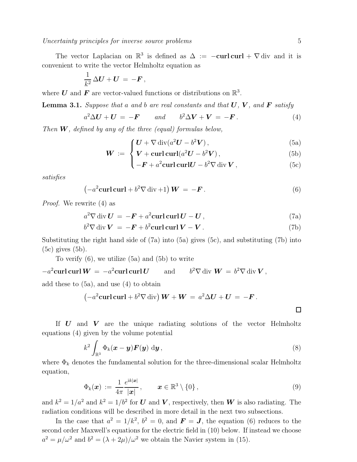$$
\frac{1}{k^2}\Delta U + U = -F,
$$

where U and F are vector-valued functions or distributions on  $\mathbb{R}^3$ .

**Lemma 3.1.** Suppose that a and b are real constants and that  $U, V$ , and  $\bf{F}$  satisfy

$$
a^2 \Delta U + U = -F \qquad and \qquad b^2 \Delta V + V = -F. \tag{4}
$$

Then  $W$ , defined by any of the three (equal) formulas below,

$$
\int \mathbf{U} + \nabla \operatorname{div}(a^2 \mathbf{U} - b^2 \mathbf{V}), \tag{5a}
$$

$$
W := \left\{ V + \text{curl curl}(a^2U - b^2V), \right\} \tag{5b}
$$

$$
-F + a^2 \operatorname{curl} \operatorname{curl} U - b^2 \nabla \operatorname{div} V, \qquad (5c)
$$

satisfies

$$
\left(-a^2 \mathbf{curl} \mathbf{curl} + b^2 \nabla \mathbf{div} + 1\right) \mathbf{W} = -\mathbf{F}.
$$
 (6)

Proof. We rewrite (4) as

$$
a^{2}\nabla \operatorname{div} \mathbf{U} = -\mathbf{F} + a^{2}\operatorname{curl} \operatorname{curl} \mathbf{U} - \mathbf{U}, \qquad (7a)
$$

$$
b^2 \nabla \operatorname{div} \mathbf{V} = -\mathbf{F} + b^2 \operatorname{curl} \operatorname{curl} \mathbf{V} - \mathbf{V} \,. \tag{7b}
$$

Substituting the right hand side of (7a) into (5a) gives (5c), and substituting (7b) into  $(5c)$  gives  $(5b)$ .

To verify  $(6)$ , we utilize  $(5a)$  and  $(5b)$  to write

 $-a^2$ curl curl  $W = -a^2$ curl curl  $U$  and  $b^2 \nabla$  div  $W = b^2 \nabla$  div  $V$ ,

add these to (5a), and use (4) to obtain

$$
\left(-a^2\mathbf{curl}\,\mathbf{curl}+b^2\nabla\,\mathrm{div}\right)\boldsymbol{W}+\boldsymbol{W}\,=\,a^2\Delta\boldsymbol{U}+\boldsymbol{U}\,=\,-\boldsymbol{F}\,.
$$

If  $U$  and  $V$  are the unique radiating solutions of the vector Helmholtz equations (4) given by the volume potential

$$
k^2 \int_{\mathbb{R}^3} \Phi_k(\boldsymbol{x} - \boldsymbol{y}) \boldsymbol{F}(\boldsymbol{y}) \, \mathrm{d}\boldsymbol{y}, \tag{8}
$$

where  $\Phi_k$  denotes the fundamental solution for the three-dimensional scalar Helmholtz equation,

$$
\Phi_k(\boldsymbol{x}) := \frac{1}{4\pi} \frac{e^{ik|\boldsymbol{x}|}}{|\boldsymbol{x}|}, \qquad \boldsymbol{x} \in \mathbb{R}^3 \setminus \{0\}, \tag{9}
$$

and  $k^2 = 1/a^2$  and  $k^2 = 1/b^2$  for U and V, respectively, then W is also radiating. The radiation conditions will be described in more detail in the next two subsections.

In the case that  $a^2 = 1/k^2$ ,  $b^2 = 0$ , and  $\mathbf{F} = \mathbf{J}$ , the equation (6) reduces to the second order Maxwell's equations for the electric field in (10) below. If instead we choose  $a^2 = \mu/\omega^2$  and  $b^2 = (\lambda + 2\mu)/\omega^2$  we obtain the Navier system in (15).

 $\Box$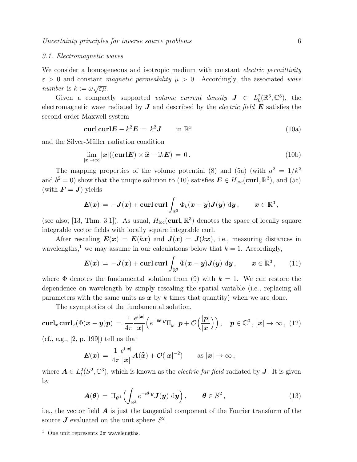#### 3.1. Electromagnetic waves

We consider a homogeneous and isotropic medium with constant *electric permittivity*  $\varepsilon > 0$  and constant *magnetic permeability*  $\mu > 0$ . Accordingly, the associated *wave* number is  $k := \omega \sqrt{\varepsilon \mu}$ .

Given a compactly supported *volume current density*  $J \in L_0^2(\mathbb{R}^3, \mathbb{C}^3)$ , the electromagnetic wave radiated by  $J$  and described by the *electric field*  $E$  satisfies the second order Maxwell system

$$
\mathbf{curl}\,\mathbf{curl}\,\mathbf{E}-k^2\boldsymbol{E}=k^2\boldsymbol{J}\qquad\text{in }\mathbb{R}^3\tag{10a}
$$

and the Silver-Müller radiation condition

$$
\lim_{|\mathbf{x}| \to \infty} |\mathbf{x}|((\mathbf{curl} \mathbf{E}) \times \hat{\mathbf{x}} - \mathrm{i} k \mathbf{E}) = 0. \tag{10b}
$$

The mapping properties of the volume potential (8) and (5a) (with  $a^2 = 1/k^2$ and  $b^2 = 0$ ) show that the unique solution to (10) satisfies  $\mathbf{E} \in H_{loc}(\text{curl}, \mathbb{R}^3)$ , and (5c) (with  $\boldsymbol{F} = \boldsymbol{J}$ ) yields

$$
\boldsymbol{E}(\boldsymbol{x})\,=\,-\boldsymbol{J}(\boldsymbol{x})+\mathrm{curl}\,\mathrm{curl}\int_{\mathbb{R}^3}\Phi_k(\boldsymbol{x}-\boldsymbol{y})\boldsymbol{J}(\boldsymbol{y})\;\mathrm{d}\boldsymbol{y}\,,\qquad \boldsymbol{x}\in\mathbb{R}^3\,,
$$

(see also, [13, Thm. 3.1]). As usual,  $H_{\text{loc}}(\text{curl}, \mathbb{R}^3)$  denotes the space of locally square integrable vector fields with locally square integrable curl.

After rescaling  $E(x) = E(kx)$  and  $J(x) = J(kx)$ , i.e., measuring distances in wavelengths,<sup>1</sup> we may assume in our calculations below that  $k = 1$ . Accordingly,

$$
\boldsymbol{E}(\boldsymbol{x}) = -\boldsymbol{J}(\boldsymbol{x}) + \operatorname{curl} \operatorname{curl} \int_{\mathbb{R}^3} \Phi(\boldsymbol{x} - \boldsymbol{y}) \boldsymbol{J}(\boldsymbol{y}) \, \mathrm{d}\boldsymbol{y}, \qquad \boldsymbol{x} \in \mathbb{R}^3, \qquad (11)
$$

where  $\Phi$  denotes the fundamental solution from (9) with  $k = 1$ . We can restore the dependence on wavelength by simply rescaling the spatial variable (i.e., replacing all parameters with the same units as  $x$  by  $k$  times that quantity) when we are done.

The asymptotics of the fundamental solution,

$$
\operatorname{curl}_x \operatorname{curl}_x (\Phi(\boldsymbol{x}-\boldsymbol{y})\boldsymbol{p}) = \frac{1}{4\pi} \frac{e^{i|\boldsymbol{x}|}}{|\boldsymbol{x}|} \Big(e^{-i\widehat{\boldsymbol{x}}\cdot\boldsymbol{y}}\Pi_{\widehat{\boldsymbol{x}}^{\perp}}\boldsymbol{p} + \mathcal{O}\Big(\frac{|\boldsymbol{p}|}{|\boldsymbol{x}|}\Big)\Big), \quad \boldsymbol{p} \in \mathbb{C}^3, \, |\boldsymbol{x}| \to \infty, \, (12)
$$

(cf., e.g., [2, p. 199]) tell us that

$$
\boldsymbol{E}(\boldsymbol{x})\,=\,\frac{1}{4\pi}\frac{e^{\mathrm{i}|\boldsymbol{x}|}}{|\boldsymbol{x}|}\boldsymbol{A}(\widehat{\boldsymbol{x}})+\mathcal{O}(|\boldsymbol{x}|^{-2})\qquad\text{as }|\boldsymbol{x}|\to\infty\,,
$$

where  $\mathbf{A} \in L^2_t(S^2, \mathbb{C}^3)$ , which is known as the *electric far field* radiated by **J**. It is given by

$$
\mathbf{A}(\boldsymbol{\theta}) = \Pi_{\boldsymbol{\theta}^{\perp}} \Biggl( \int_{\mathbb{R}^3} e^{-i\boldsymbol{\theta} \cdot \mathbf{y}} \mathbf{J}(\mathbf{y}) \, \mathrm{d}\mathbf{y} \Biggr) \,, \qquad \boldsymbol{\theta} \in S^2 \,, \tag{13}
$$

i.e., the vector field  $\boldsymbol{A}$  is just the tangential component of the Fourier transform of the source  $J$  evaluated on the unit sphere  $S^2$ .

<sup>1</sup> One unit represents  $2\pi$  wavelengths.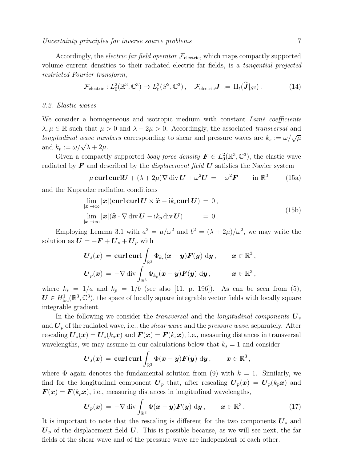Uncertainty principles for inverse source problems 7

Accordingly, the *electric far field operator*  $\mathcal{F}_{\text{electric}}$ , which maps compactly supported volume current densities to their radiated electric far fields, is a tangential projected restricted Fourier transform,

$$
\mathcal{F}_{\text{electric}}: L_0^2(\mathbb{R}^3, \mathbb{C}^3) \to L_t^2(S^2, \mathbb{C}^3), \quad \mathcal{F}_{\text{electric}}\mathbf{J} := \Pi_t(\hat{\mathbf{J}}|_{S^2}). \tag{14}
$$

#### 3.2. Elastic waves

We consider a homogeneous and isotropic medium with constant Lamé coefficients  $\lambda, \mu \in \mathbb{R}$  such that  $\mu > 0$  and  $\lambda + 2\mu > 0$ . Accordingly, the associated transversal and longitudinal wave numbers corresponding to shear and pressure waves are  $k_s := \omega / \sqrt{\mu}$ and  $k_p := \omega / \sqrt{\lambda + 2\mu}$ .

Given a compactly supported *body force density*  $\mathbf{F} \in L_0^2(\mathbb{R}^3, \mathbb{C}^3)$ , the elastic wave radiated by  $\bf{F}$  and described by the *displacement field*  $\bf{U}$  satisfies the Navier system

$$
-\mu \operatorname{\mathbf{curl}} \operatorname{\mathbf{curl}} \mathbf{U} + (\lambda + 2\mu) \nabla \operatorname{\mathrm{div}} \mathbf{U} + \omega^2 \mathbf{U} = -\omega^2 \mathbf{F} \qquad \text{in } \mathbb{R}^3 \tag{15a}
$$

and the Kupradze radiation conditions

$$
\lim_{|\mathbf{x}| \to \infty} |\mathbf{x}| (\mathbf{curl curl} \mathbf{U} \times \hat{\mathbf{x}} - i k_s \mathbf{curl} \mathbf{U}) = 0,\n\lim_{|\mathbf{x}| \to \infty} |\mathbf{x}| (\hat{\mathbf{x}} \cdot \nabla \operatorname{div} \mathbf{U} - i k_p \operatorname{div} \mathbf{U}) = 0.
$$
\n(15b)

Employing Lemma 3.1 with  $a^2 = \mu/\omega^2$  and  $b^2 = (\lambda + 2\mu)/\omega^2$ , we may write the solution as  $\boldsymbol{U} = -\boldsymbol{F} + \boldsymbol{U}_s + \boldsymbol{U}_p$  with

$$
\begin{aligned} \boldsymbol{U}_s(\boldsymbol{x}) \, & = \, \boldsymbol{\mathrm{curl}} \, \boldsymbol{\mathrm{curl}} \, \int_{\mathbb{R}^3} \Phi_{k_s}(\boldsymbol{x} - \boldsymbol{y}) \boldsymbol{F}(\boldsymbol{y}) \, \, \mathrm{d} \boldsymbol{y} \,, \qquad \boldsymbol{x} \in \mathbb{R}^3 \,, \\ \boldsymbol{U}_p(\boldsymbol{x}) \, & = \, - \nabla \, \mathrm{div} \int_{\mathbb{R}^3} \Phi_{k_p}(\boldsymbol{x} - \boldsymbol{y}) \boldsymbol{F}(\boldsymbol{y}) \, \, \mathrm{d} \boldsymbol{y} \,, \qquad \quad \boldsymbol{x} \in \mathbb{R}^3 \,, \end{aligned}
$$

where  $k_s = 1/a$  and  $k_p = 1/b$  (see also [11, p. 196]). As can be seen from (5),  $\mathbf{U} \in H^1_{loc}(\mathbb{R}^3, \mathbb{C}^3)$ , the space of locally square integrable vector fields with locally square integrable gradient.

In the following we consider the transversal and the longitudinal components  $U_s$ and  $U_p$  of the radiated wave, i.e., the *shear wave* and the *pressure wave*, separately. After rescaling  $\boldsymbol{U}_s(\boldsymbol{x}) = \boldsymbol{U}_s(k_s \boldsymbol{x})$  and  $\boldsymbol{F}(\boldsymbol{x}) = \boldsymbol{F}(k_s \boldsymbol{x})$ , i.e., measuring distances in transversal wavelengths, we may assume in our calculations below that  $k_s = 1$  and consider

$$
\boldsymbol{U}_s(\boldsymbol{x})\,=\, \boldsymbol{\mathrm{curl}}\,\boldsymbol{\mathrm{curl}}\, \displaystyle\int_{\mathbb{R}^3} \Phi(\boldsymbol{x}-\boldsymbol{y})\boldsymbol{F}(\boldsymbol{y})\,\,\mathrm{d}\boldsymbol{y}\,, \qquad \boldsymbol{x}\in\mathbb{R}^3\,,
$$

where  $\Phi$  again denotes the fundamental solution from (9) with  $k = 1$ . Similarly, we find for the longitudinal component  $\mathbf{U}_p$  that, after rescaling  $\mathbf{U}_p(\bm{x}) = \mathbf{U}_p(k_p\bm{x})$  and  $\mathbf{F}(\mathbf{x}) = \mathbf{F}(k_p \mathbf{x})$ , i.e., measuring distances in longitudinal wavelengths,

$$
\boldsymbol{U}_p(\boldsymbol{x}) = -\nabla \operatorname{div} \int_{\mathbb{R}^3} \Phi(\boldsymbol{x} - \boldsymbol{y}) \boldsymbol{F}(\boldsymbol{y}) \, \mathrm{d}\boldsymbol{y}, \qquad \boldsymbol{x} \in \mathbb{R}^3. \tag{17}
$$

It is important to note that the rescaling is different for the two components  $U_s$  and  $U_p$  of the displacement field U. This is possible because, as we will see next, the far fields of the shear wave and of the pressure wave are independent of each other.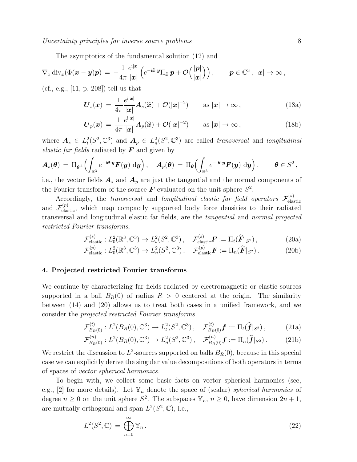The asymptotics of the fundamental solution (12) and

$$
\nabla_x \operatorname{div}_x (\Phi(\mathbf{x}-\mathbf{y})\mathbf{p}) = -\frac{1}{4\pi} \frac{e^{i|\mathbf{x}|}}{|\mathbf{x}|} \Big( e^{-i\widehat{\mathbf{x}} \cdot \mathbf{y}} \Pi_{\widehat{\mathbf{x}}} \mathbf{p} + \mathcal{O}\Big(\frac{|\mathbf{p}|}{|\mathbf{x}|}\Big) \Big), \qquad \mathbf{p} \in \mathbb{C}^3, \ |\mathbf{x}| \to \infty,
$$

(cf., e.g., [11, p. 208]) tell us that

$$
\boldsymbol{U}_s(\boldsymbol{x}) \, = \, \frac{1}{4\pi} \frac{e^{i|\boldsymbol{x}|}}{|\boldsymbol{x}|} \boldsymbol{A}_s(\widehat{\boldsymbol{x}}) + \mathcal{O}(|\boldsymbol{x}|^{-2}) \qquad \text{as } |\boldsymbol{x}| \to \infty \,, \tag{18a}
$$

$$
\boldsymbol{U}_p(\boldsymbol{x})\,=\,\frac{1}{4\pi}\frac{e^{\mathrm{i}|\boldsymbol{x}|}}{|\boldsymbol{x}|}\boldsymbol{A}_p(\widehat{\boldsymbol{x}})+\mathcal{O}(|\boldsymbol{x}|^{-2})\qquad\text{as }|\boldsymbol{x}|\to\infty\,,\tag{18b}
$$

where  $A_s \in L^2_t(S^2, \mathbb{C}^3)$  and  $A_p \in L^2_n(S^2, \mathbb{C}^3)$  are called transversal and longitudinal elastic far fields radiated by  $\bf{F}$  and given by

$$
\boldsymbol{A}_s(\boldsymbol{\theta})\,=\,\Pi_{\boldsymbol{\theta}^{\perp}}\Bigl(\int_{\mathbb{R}^3}e^{-{\rm i}\boldsymbol{\theta}\cdot\boldsymbol{y}}\boldsymbol{F}(\boldsymbol{y})\,\,{\rm d}\boldsymbol{y}\Bigr)\,,\quad \boldsymbol{A}_p(\boldsymbol{\theta})\,=\,\Pi_{\boldsymbol{\theta}}\Bigl(\int_{\mathbb{R}^3}e^{-{\rm i}\boldsymbol{\theta}\cdot\boldsymbol{y}}\boldsymbol{F}(\boldsymbol{y})\,\,{\rm d}\boldsymbol{y}\Bigr)\,,\qquad \boldsymbol{\theta}\in S^2\,,
$$

i.e., the vector fields  $A_s$  and  $A_p$  are just the tangential and the normal components of the Fourier transform of the source  $\boldsymbol{F}$  evaluated on the unit sphere  $S^2$ .

Accordingly, the transversal and longitudinal elastic far field operators  $\mathcal{F}_{\text{elas}}^{(s)}$ elastic and  $\mathcal{F}_{\text{elastic}}^{(p)}$ , which map compactly supported body force densities to their radiated transversal and longitudinal elastic far fields, are the tangential and normal projected restricted Fourier transforms,

$$
\mathcal{F}^{(s)}_{\text{elastic}}: L_0^2(\mathbb{R}^3, \mathbb{C}^3) \to L_t^2(S^2, \mathbb{C}^3), \quad \mathcal{F}^{(s)}_{\text{elastic}}\mathbf{F} := \Pi_t(\widehat{\mathbf{F}}|_{S^2}), \tag{20a}
$$

$$
\mathcal{F}_{\text{elastic}}^{(p)}: L_0^2(\mathbb{R}^3, \mathbb{C}^3) \to L_n^2(S^2, \mathbb{C}^3), \quad \mathcal{F}_{\text{elastic}}^{(p)} \mathbf{F} := \Pi_n(\widehat{\mathbf{F}}|_{S^2}). \tag{20b}
$$

#### 4. Projected restricted Fourier transforms

We continue by characterizing far fields radiated by electromagnetic or elastic sources supported in a ball  $B_R(0)$  of radius  $R > 0$  centered at the origin. The similarity between (14) and (20) allows us to treat both cases in a unified framework, and we consider the projected restricted Fourier transforms

$$
\mathcal{F}_{B_R(0)}^{(t)}: L^2(B_R(0), \mathbb{C}^3) \to L^2_t(S^2, \mathbb{C}^3), \quad \mathcal{F}_{B_R(0)}^{(t)} \mathbf{f} := \Pi_t(\widehat{\mathbf{f}}|_{S^2}), \tag{21a}
$$

$$
\mathcal{F}_{B_R(0)}^{(n)}: L^2(B_R(0), \mathbb{C}^3) \to L^2_n(S^2, \mathbb{C}^3), \quad \mathcal{F}_{B_R(0)}^{(n)} \mathbf{f} := \Pi_n(\hat{\mathbf{f}}|_{S^2}). \tag{21b}
$$

We restrict the discussion to  $L^2$ -sources supported on balls  $B_R(0)$ , because in this special case we can explicitly derive the singular value decompositions of both operators in terms of spaces of vector spherical harmonics.

To begin with, we collect some basic facts on vector spherical harmonics (see, e.g., [2] for more details). Let  $\mathbb{Y}_n$  denote the space of (scalar) spherical harmonics of degree  $n \geq 0$  on the unit sphere  $S^2$ . The subspaces  $\mathbb{Y}_n$ ,  $n \geq 0$ , have dimension  $2n + 1$ , are mutually orthogonal and span  $L^2(S^2, \mathbb{C})$ , i.e.,

$$
L^2(S^2, \mathbb{C}) = \bigoplus_{n=0}^{\infty} \mathbb{Y}_n.
$$
 (22)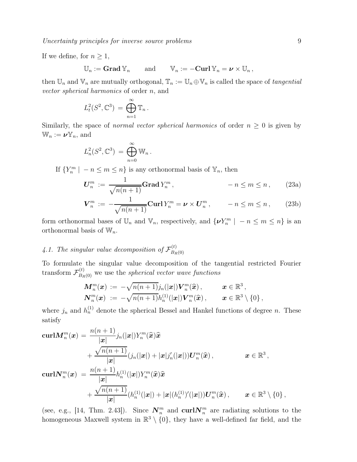If we define, for  $n \geq 1$ ,

$$
\mathbb{U}_n := \mathbf{Grad} \, \mathbb{Y}_n \qquad \text{and} \qquad \mathbb{V}_n := -\mathbf{Curl} \, \mathbb{Y}_n = \boldsymbol{\nu} \times \mathbb{U}_n \,,
$$

then  $\mathbb{U}_n$  and  $\mathbb{V}_n$  are mutually orthogonal,  $\mathbb{T}_n := \mathbb{U}_n \oplus \mathbb{V}_n$  is called the space of *tangential* vector spherical harmonics of order n, and

$$
L_t^2(S^2, \mathbb{C}^3) = \bigoplus_{n=1}^{\infty} \mathbb{T}_n.
$$

Similarly, the space of *normal vector spherical harmonics* of order  $n \geq 0$  is given by  $\mathbb{W}_n := \boldsymbol{\nu} \mathbb{Y}_n$ , and

$$
L_n^2(S^2, \mathbb{C}^3) = \bigoplus_{n=0}^{\infty} \mathbb{W}_n.
$$

If  ${Y_n^m \mid -n \leq m \leq n}$  is any orthonormal basis of  $\mathbb{Y}_n$ , then

$$
\boldsymbol{U}_n^m := \frac{1}{\sqrt{n(n+1)}} \mathbf{Grad}\, Y_n^m, \qquad -n \le m \le n, \qquad (23a)
$$

$$
\boldsymbol{V}_n^m := -\frac{1}{\sqrt{n(n+1)}} \mathbf{Curl}\, Y_n^m = \boldsymbol{\nu} \times \boldsymbol{U}_n^m, \qquad -n \le m \le n, \qquad (23b)
$$

form orthonormal bases of  $\mathbb{U}_n$  and  $\mathbb{V}_n$ , respectively, and  $\{\boldsymbol{\nu} Y_n^m \mid -n \leq m \leq n\}$  is an orthonormal basis of  $\mathbb{W}_n$ .

#### 4.1. The singular value decomposition of  $\mathcal{F}_{B_R}^{(t)}$  $B_R(0)$

To formulate the singular value decomposition of the tangential restricted Fourier transform  $\mathcal{F}_{B_R(0)}^{(t)}$  we use the *spherical vector wave functions* 

$$
\begin{aligned} \boldsymbol{M}^m_n(\boldsymbol{x}) \, &:=\, -\sqrt{n(n+1)}j_n(|\boldsymbol{x}|)\boldsymbol{V}^m_n(\widehat{\boldsymbol{x}})\,, \qquad \boldsymbol{x}\in\mathbb{R}^3\,, \\ \boldsymbol{N}^m_n(\boldsymbol{x}) \, &:=\, -\sqrt{n(n+1)}h_n^{(1)}(|\boldsymbol{x}|)\boldsymbol{V}^m_n(\widehat{\boldsymbol{x}})\,, \qquad \boldsymbol{x}\in\mathbb{R}^3\setminus\{0\}\,, \end{aligned}
$$

where  $j_n$  and  $h_n^{(1)}$  denote the spherical Bessel and Hankel functions of degree n. These satisfy

$$
\begin{aligned} \textbf{curl} \boldsymbol{M}^m_n(\boldsymbol{x}) &= \frac{n(n+1)}{|\boldsymbol{x}|} j_n(|\boldsymbol{x}|) Y^m_n(\widehat{\boldsymbol{x}}) \widehat{\boldsymbol{x}} \\ &+ \frac{\sqrt{n(n+1)}}{|\boldsymbol{x}|} (j_n(|\boldsymbol{x}|) + |\boldsymbol{x}| j_n'(|\boldsymbol{x}|)) \boldsymbol{U}^m_n(\widehat{\boldsymbol{x}}) \,, \hspace{1cm} \boldsymbol{x} \in \mathbb{R}^3 \,, \\ \textbf{curl} \boldsymbol{N}^m_n(\boldsymbol{x}) &= \frac{n(n+1)}{|\boldsymbol{x}|} h_n^{(1)}(|\boldsymbol{x}|) Y^m_n(\widehat{\boldsymbol{x}}) \widehat{\boldsymbol{x}} \\ &+ \frac{\sqrt{n(n+1)}}{|\boldsymbol{x}|} (h_n^{(1)}(|\boldsymbol{x}|) + |\boldsymbol{x}| (h_n^{(1)})'(|\boldsymbol{x}|)) \boldsymbol{U}^m_n(\widehat{\boldsymbol{x}}) \,, \hspace{1cm} \boldsymbol{x} \in \mathbb{R}^3 \setminus \{0\} \,, \end{aligned}
$$

(see, e.g., [14, Thm. 2.43]). Since  $\mathbb{N}_n^m$  and  $\text{curl} \mathbb{N}_n^m$  are radiating solutions to the homogeneous Maxwell system in  $\mathbb{R}^3 \setminus \{0\}$ , they have a well-defined far field, and the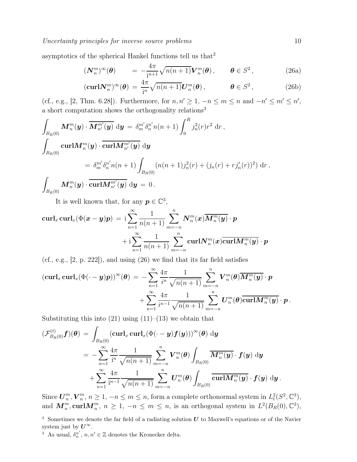asymptotics of the spherical Hankel functions tell us that<sup>2</sup>

$$
(\mathbf{N}_n^m)^\infty(\boldsymbol{\theta}) \qquad = -\frac{4\pi}{\mathrm{i}^{n+1}}\sqrt{n(n+1)}\mathbf{V}_n^m(\boldsymbol{\theta})\,, \qquad \boldsymbol{\theta} \in S^2\,, \tag{26a}
$$

$$
(\mathbf{curl} \mathbf{N}_n^m)^\infty(\boldsymbol{\theta}) = \frac{4\pi}{\mathrm{i}^n} \sqrt{n(n+1)} \mathbf{U}_n^m(\boldsymbol{\theta}), \qquad \boldsymbol{\theta} \in S^2, \qquad (26b)
$$

(cf., e.g., [2, Thm. 6.28]). Furthermore, for  $n, n' \geq 1, -n \leq m \leq n$  and  $-n' \leq m' \leq n'$ , a short computation shows the orthogonality relations<sup>3</sup>

$$
\int_{B_R(0)} \boldsymbol{M}_n^m(\boldsymbol{y}) \cdot \overline{\boldsymbol{M}_{n'}^{m'}(\boldsymbol{y})} \, \mathrm{d}\boldsymbol{y} = \delta_m^{m'} \delta_n^{n'} n(n+1) \int_0^R j_n^2(r) r^2 \, \mathrm{d}r,
$$
\n
$$
\int_{B_R(0)} \mathbf{curl} \boldsymbol{M}_n^m(\boldsymbol{y}) \cdot \overline{\mathbf{curl} \boldsymbol{M}_{n'}^{m'}(\boldsymbol{y})} \, \mathrm{d}\boldsymbol{y}
$$
\n
$$
= \delta_m^{m'} \delta_n^{n'} n(n+1) \int_{B_R(0)} (n(n+1) j_n^2(r) + (j_n(r) + r j_n'(r))^2) \, \mathrm{d}r,
$$
\n
$$
\int_{B_R(0)} \boldsymbol{M}_n^m(\boldsymbol{y}) \cdot \overline{\mathbf{curl} \boldsymbol{M}_{n'}^{m'}(\boldsymbol{y})} \, \mathrm{d}\boldsymbol{y} = 0.
$$

It is well known that, for any  $p \in \mathbb{C}^3$ ,

$$
\operatorname{curl}_x\operatorname{curl}_x(\Phi(\boldsymbol{x}-\boldsymbol{y})\boldsymbol{p})\,=\,\mathrm{i}\sum_{n=1}^\infty\frac{1}{n(n+1)}\sum_{m=-n}^n\boldsymbol{N}^m_n(\boldsymbol{x})\overline{\boldsymbol{M}^m_n(\boldsymbol{y})}\cdot\boldsymbol{p}\\qquad \qquad +\,\mathrm{i}\sum_{n=1}^\infty\frac{1}{n(n+1)}\sum_{m=-n}^n\operatorname{curl}\boldsymbol{N}^m_n(\boldsymbol{x})\overline{\operatorname{curl}\boldsymbol{M}^m_n(\boldsymbol{y})}\cdot\boldsymbol{p}
$$

 $(cf., e.g., [2, p. 222]),$  and using  $(26)$  we find that its far field satisfies

$$
\begin{aligned} (\mathbf{curl}_x\,\mathbf{curl}_x(\Phi(\cdot - \bm{y})\bm{p}))^{\infty}(\bm{\theta}) \, & = \, -\sum_{n=1}^{\infty} \frac{4\pi}{i^n} \frac{1}{\sqrt{n(n+1)}} \sum_{m=-n}^{n} \bm{V}^m_n(\bm{\theta}) \overline{\bm{M}^m_n(\bm{y})} \cdot \bm{p} \\ & \quad + \sum_{n=1}^{\infty} \frac{4\pi}{i^{n-1}} \frac{1}{\sqrt{n(n+1)}} \sum_{m=-n}^{n} \bm{U}^m_n(\bm{\theta}) \overline{\mathbf{curl}\bm{M}^m_n(\bm{y})} \cdot \bm{p} \, . \end{aligned}
$$

Substituting this into  $(21)$  using  $(11)$ – $(13)$  we obtain that

 $\mathbf{r}$ 

$$
\begin{aligned} (\mathcal{F}^{(t)}_{B_R(0)}\boldsymbol{f})(\boldsymbol{\theta})\, & = \, \int_{B_R(0)} (\boldsymbol{\mathrm{curl}}_x\,\boldsymbol{\mathrm{curl}}_x(\Phi(\cdot - \boldsymbol{y})\boldsymbol{f}(\boldsymbol{y})))^\infty(\boldsymbol{\theta}) \; \mathrm{d}\boldsymbol{y} \\ & = - \sum_{n=1}^\infty \frac{4\pi}{\mathrm{i}^n} \frac{1}{\sqrt{n(n+1)}} \sum_{m=-n}^n \boldsymbol{V}^m_n(\boldsymbol{\theta}) \int_{B_R(0)} \overline{\boldsymbol{M}^m_n(\boldsymbol{y})} \cdot \boldsymbol{f}(\boldsymbol{y}) \; \mathrm{d}\boldsymbol{y} \\ & + \sum_{n=1}^\infty \frac{4\pi}{\mathrm{i}^{n-1}} \frac{1}{\sqrt{n(n+1)}} \sum_{m=-n}^n \boldsymbol{U}^m_n(\boldsymbol{\theta}) \int_{B_R(0)} \overline{\boldsymbol{\mathrm{curl}} \boldsymbol{M}^m_n(\boldsymbol{y})} \cdot \boldsymbol{f}(\boldsymbol{y}) \; \mathrm{d}\boldsymbol{y} \, . \end{aligned}
$$

Since  $\bm{U}_n^m$  $_n^m$ ,  $\boldsymbol{V}_n^m$  $_n^m$ ,  $n \ge 1$ ,  $-n \le m \le n$ , form a complete orthonormal system in  $L_t^2(S^2, \mathbb{C}^3)$ , and  $\mathbf{M}_n^m$ , curl $\mathbf{M}_n^m$ ,  $n \geq 1$ ,  $-n \leq m \leq n$ , is an orthogonal system in  $L^2(B_R(0), \mathbb{C}^3)$ ,

<sup>2</sup> Sometimes we denote the far field of a radiating solution  $U$  to Maxwell's equations or of the Navier system just by  $U^{\infty}$ .

<sup>3</sup> As usual,  $\delta_n^{n'}$ ,  $n, n' \in \mathbb{Z}$  denotes the Kronecker delta.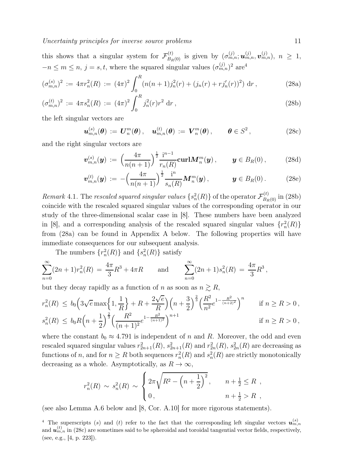this shows that a singular system for  $\mathcal{F}_{B_R(0)}^{(t)}$  is given by  $(\sigma_{m,n}^{(j)}; \mathbf{u}_{m,n}^{(j)}, \mathbf{v}_{m,n}^{(j)}), n \geq 1$ ,  $-n \leq m \leq n, j = s, t$ , where the squared singular values  $(\sigma_{m,n}^{(j)})^2$  are<sup>4</sup>

$$
(\sigma_{m,n}^{(s)})^2 := 4\pi r_n^2(R) := (4\pi)^2 \int_0^R (n(n+1)j_n^2(r) + (j_n(r) + rj_n'(r))^2) \, dr,
$$
 (28a)

$$
(\sigma_{m,n}^{(t)})^2 := 4\pi s_n^2(R) := (4\pi)^2 \int_0^R j_n^2(r) r^2 dr,
$$
\n(28b)

the left singular vectors are

$$
\boldsymbol{u}_{m,n}^{(s)}(\boldsymbol{\theta}) := \boldsymbol{U}_n^m(\boldsymbol{\theta}), \quad \boldsymbol{u}_{m,n}^{(t)}(\boldsymbol{\theta}) := \boldsymbol{V}_n^m(\boldsymbol{\theta}), \qquad \boldsymbol{\theta} \in S^2,
$$
 (28c)

and the right singular vectors are

$$
\boldsymbol{v}_{m,n}^{(s)}(\boldsymbol{y}) := \left(\frac{4\pi}{n(n+1)}\right)^{\frac{1}{2}} \frac{i^{n-1}}{r_n(R)} \mathbf{curl} \boldsymbol{M}_n^m(\boldsymbol{y}), \qquad \boldsymbol{y} \in B_R(0), \tag{28d}
$$

$$
\boldsymbol{v}_{m,n}^{(t)}(\boldsymbol{y}) := -\left(\frac{4\pi}{n(n+1)}\right)^{\frac{1}{2}} \frac{\mathrm{i}^n}{s_n(R)} \boldsymbol{M}_n^m(\boldsymbol{y}), \qquad \boldsymbol{y} \in B_R(0). \qquad (28e)
$$

Remark 4.1. The rescaled squared singular values  $\{s_n^2(R)\}\$  of the operator  $\mathcal{F}_{B_R(0)}^{(t)}$  in (28b) coincide with the rescaled squared singular values of the corresponding operator in our study of the three-dimensional scalar case in [8]. These numbers have been analyzed in [8], and a corresponding analysis of the rescaled squared singular values  $\{r_n^2(R)\}$ from (28a) can be found in Appendix A below. The following properties will have immediate consequences for our subsequent analysis.

The numbers  $\{r_n^2(R)\}\$ and  $\{s_n^2(R)\}\$ satisfy

$$
\sum_{n=0}^{\infty} (2n+1)r_n^2(R) = \frac{4\pi}{3}R^3 + 4\pi R \quad \text{and} \quad \sum_{n=0}^{\infty} (2n+1)s_n^2(R) = \frac{4\pi}{3}R^3,
$$

but they decay rapidly as a function of n as soon as  $n \geq R$ ,

$$
r_n^2(R) \le b_0 \left( 3\sqrt{e} \max\left\{ 1, \frac{1}{R} \right\} + R + \frac{2\sqrt{e}}{R} \right) \left( n + \frac{3}{2} \right)^{\frac{2}{3}} \left( \frac{R^2}{n^2} e^{1 - \frac{R^2}{(n+2)^2}} \right)^n \quad \text{if } n \ge R > 0,
$$
  

$$
s_n^2(R) \le b_0 R \left( n + \frac{1}{2} \right)^{\frac{2}{3}} \left( \frac{R^2}{(n+1)^2} e^{1 - \frac{R^2}{(n+1)^2}} \right)^{n+1} \quad \text{if } n \ge R > 0,
$$

where the constant  $b_0 \approx 4.791$  is independent of n and R. Moreover, the odd and even rescaled squared singular values  $r_{2n+1}^2(R)$ ,  $s_{2n+1}^2(R)$  and  $r_{2n}^2(R)$ ,  $s_{2n}^2(R)$  are decreasing as functions of n, and for  $n \geq R$  both sequences  $r_n^2(R)$  and  $s_n^2(R)$  are strictly monotonically decreasing as a whole. Asymptotically, as  $R \to \infty$ ,

$$
r_n^2(R) \sim s_n^2(R) \sim \begin{cases} 2\pi \sqrt{R^2 - \left(n + \frac{1}{2}\right)^2}, & n + \frac{1}{2} \le R, \\ 0, & n + \frac{1}{2} > R, \end{cases}
$$

(see also Lemma A.6 below and [8, Cor. A.10] for more rigorous statements).

<sup>4</sup> The superscripts (s) and (t) refer to the fact that the corresponding left singular vectors  $u_{m,n}^{(s)}$ and  $u_{m,n}^{(t)}$  in (28c) are sometimes said to be spheroidal and toroidal tangential vector fields, respectively, (see, e.g., [4, p. 223]).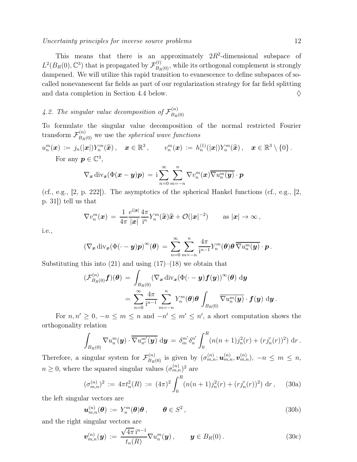This means that there is an approximately  $2R^2$ -dimensional subspace of  $L^2(B_R(0), \mathbb{C}^3)$  that is propagated by  $\mathcal{F}_{B_R(0)}^{(t)}$ , while its orthogonal complement is strongly dampened. We will utilize this rapid transition to evanescence to define subspaces of socalled nonevanescent far fields as part of our regularization strategy for far field splitting and data completion in Section 4.4 below.  $\Diamond$ 

#### 4.2. The singular value decomposition of  $\mathcal{F}_{B_R}^{(n)}$  $B_R(0)$

To formulate the singular value decomposition of the normal restricted Fourier transform  $\mathcal{F}_{B_R(0)}^{(n)}$  we use the *spherical wave functions* 

$$
u_n^m(\boldsymbol{x}) := j_n(|\boldsymbol{x}|)Y_n^m(\widehat{\boldsymbol{x}}), \quad \boldsymbol{x} \in \mathbb{R}^3, \qquad v_n^m(\boldsymbol{x}) := h_n^{(1)}(|\boldsymbol{x}|)Y_n^m(\widehat{\boldsymbol{x}}), \quad \boldsymbol{x} \in \mathbb{R}^3 \setminus \{0\}.
$$
  
For any  $\boldsymbol{p} \in \mathbb{C}^3$ 

For any  $p \in \mathbb{C}^3$ ,

$$
\nabla_{\boldsymbol{x}} \operatorname{div}_{\boldsymbol{x}} (\Phi(\boldsymbol{x} - \boldsymbol{y}) \boldsymbol{p}) \, = \, \mathrm{i} \sum_{n=0}^{\infty} \sum_{m=-n}^{n} \nabla v_n^m(\boldsymbol{x}) \overline{\nabla u_n^m(\boldsymbol{y})} \cdot \boldsymbol{p}
$$

(cf., e.g., [2, p. 222]). The asymptotics of the spherical Hankel functions (cf., e.g., [2, p. 31]) tell us that

$$
\nabla v_n^m(\boldsymbol{x})\,=\,\frac{1}{4\pi}\frac{e^{\mathrm{i}|\boldsymbol{x}|}}{|\boldsymbol{x}|}\frac{4\pi}{\mathrm{i}^n}Y_n^m(\widehat{\boldsymbol{x}})\widehat{\boldsymbol{x}}+\mathcal{O}(|\boldsymbol{x}|^{-2})\qquad\text{as }|\boldsymbol{x}|\to\infty\,,
$$

i.e.,

$$
(\nabla_{\boldsymbol{x}}\operatorname{div}_{\boldsymbol{x}}(\Phi(\cdot-\boldsymbol{y})\boldsymbol{p})^{\infty}(\boldsymbol{\theta})\,=\,\sum_{n=0}^{\infty}\sum_{m=-n}^{n}\frac{4\pi}{\mathrm{i}^{n-1}}Y_{n}^{m}(\boldsymbol{\theta})\boldsymbol{\theta}\,\overline{\nabla u_{n}^{m}(\boldsymbol{y})}\cdot\boldsymbol{p}\,.
$$

Substituting this into  $(21)$  and using  $(17)$ – $(18)$  we obtain that

 $i \in \{1, \ldots, n\}$ 

$$
\begin{aligned} (\mathcal{F}_{B_R(0)}^{(n)} f)(\boldsymbol{\theta}) &= \int_{B_R(0)} (\nabla_x \operatorname{div}_x (\Phi(\cdot - \boldsymbol{y}) f(\boldsymbol{y}))^{\infty} (\boldsymbol{\theta}) \, \mathrm{d} \boldsymbol{y} \\ &= \sum_{n=0}^{\infty} \frac{4\pi}{\mathrm{i}^{n-1}} \sum_{m=-n}^{n} Y_n^m(\boldsymbol{\theta}) \boldsymbol{\theta} \int_{B_R(0)} \overline{\nabla u_n^m(\boldsymbol{y})} \cdot f(\boldsymbol{y}) \, \mathrm{d} \boldsymbol{y} \, . \end{aligned}
$$

For  $n, n' \geq 0, -n \leq m \leq n$  and  $-n' \leq m' \leq n'$ , a short computation shows the orthogonality relation

$$
\int_{B_R(0)} \nabla u_n^m(\boldsymbol{y}) \cdot \overline{\nabla u_{n'}^{m'}(\boldsymbol{y})} d\boldsymbol{y} = \delta_m^{m'} \delta_n^{n'} \int_0^R (n(n+1)j_n^2(r) + (rj_n'(r))^2) dr.
$$

Therefore, a singular system for  $\mathcal{F}_{B_R(0)}^{(n)}$  is given by  $(\sigma_{m,n}^{(n)}; \mathbf{u}_{m,n}^{(n)}, \mathbf{v}_{m,n}^{(n)}), -n \leq m \leq n$ ,  $n \geq 0$ , where the squared singular values  $(\sigma_{m,n}^{(n)})^2$  are

$$
(\sigma_{m,n}^{(n)})^2 := 4\pi t_n^2(R) := (4\pi)^2 \int_0^R (n(n+1)j_n^2(r) + (rj_n'(r))^2) \, dr \,, \tag{30a}
$$

the left singular vectors are

$$
\boldsymbol{u}_{m,n}^{(n)}(\boldsymbol{\theta}) := Y_n^m(\boldsymbol{\theta})\boldsymbol{\theta}, \qquad \boldsymbol{\theta} \in S^2,
$$
\n(30b)

and the right singular vectors are

$$
\boldsymbol{v}_{m,n}^{(n)}(\boldsymbol{y}) := \frac{\sqrt{4\pi} \, \mathrm{i}^{n-1}}{t_n(R)} \nabla u_n^m(\boldsymbol{y}), \qquad \boldsymbol{y} \in B_R(0).
$$
 (30c)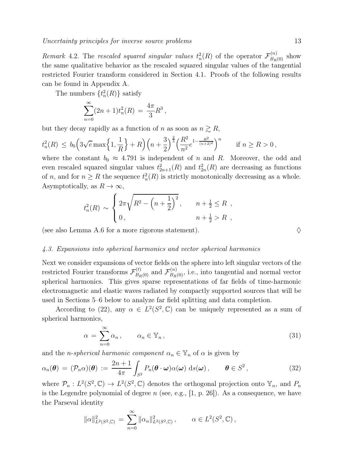Remark 4.2. The rescaled squared singular values  $t_n^2(R)$  of the operator  $\mathcal{F}_{B_R(0)}^{(n)}$  show the same qualitative behavior as the rescaled squared singular values of the tangential restricted Fourier transform considered in Section 4.1. Proofs of the following results can be found in Appendix A.

The numbers  $\{t_n^2(R)\}\$ satisfy

$$
\sum_{n=0}^{\infty} (2n+1)t_n^2(R) = \frac{4\pi}{3}R^3,
$$

but they decay rapidly as a function of n as soon as  $n \geq R$ ,

$$
t_n^2(R) \le b_0 \left(3\sqrt{e} \max\left\{1, \frac{1}{R}\right\} + R\right) \left(n + \frac{3}{2}\right)^{\frac{2}{3}} \left(\frac{R^2}{n^2} e^{1 - \frac{R^2}{(n+2)^2}}\right)^n
$$
 if  $n \ge R > 0$ ,

where the constant  $b_0 \approx 4.791$  is independent of n and R. Moreover, the odd and even rescaled squared singular values  $t_{2n+1}^2(R)$  and  $t_{2n}^2(R)$  are decreasing as functions of *n*, and for  $n \geq R$  the sequence  $t_n^2(R)$  is strictly monotonically decreasing as a whole. Asymptotically, as  $R \to \infty$ ,

$$
t_n^2(R) \sim \begin{cases} 2\pi \sqrt{R^2 - \left(n + \frac{1}{2}\right)^2}, & n + \frac{1}{2} \le R, \\ 0, & n + \frac{1}{2} > R, \end{cases}
$$

(see also Lemma A.6 for a more rigorous statement).  $\diamond$ 

#### 4.3. Expansions into spherical harmonics and vector spherical harmonics

Next we consider expansions of vector fields on the sphere into left singular vectors of the restricted Fourier transforms  $\mathcal{F}_{B_R(0)}^{(t)}$  and  $\mathcal{F}_{B_R(0)}^{(n)}$ , i.e., into tangential and normal vector spherical harmonics. This gives sparse representations of far fields of time-harmonic electromagnetic and elastic waves radiated by compactly supported sources that will be used in Sections 5–6 below to analyze far field splitting and data completion.

According to (22), any  $\alpha \in L^2(S^2, \mathbb{C})$  can be uniquely represented as a sum of spherical harmonics,

$$
\alpha = \sum_{n=0}^{\infty} \alpha_n, \qquad \alpha_n \in \mathbb{Y}_n,
$$
\n(31)

and the *n-spherical harmonic component*  $\alpha_n \in \mathbb{Y}_n$  of  $\alpha$  is given by

$$
\alpha_n(\boldsymbol{\theta}) = (\mathcal{P}_n \alpha)(\boldsymbol{\theta}) := \frac{2n+1}{4\pi} \int_{S^2} P_n(\boldsymbol{\theta} \cdot \boldsymbol{\omega}) \alpha(\boldsymbol{\omega}) \, ds(\boldsymbol{\omega}), \qquad \boldsymbol{\theta} \in S^2,
$$
 (32)

where  $\mathcal{P}_n: L^2(S^2, \mathbb{C}) \to L^2(S^2, \mathbb{C})$  denotes the orthogonal projection onto  $\mathbb{Y}_n$ , and  $P_n$ is the Legendre polynomial of degree  $n$  (see, e.g., [1, p. 26]). As a consequence, we have the Parseval identity

$$
\|\alpha\|_{L^2(S^2,\mathbb{C})}^2 = \sum_{n=0}^{\infty} \|\alpha_n\|_{L^2(S^2,\mathbb{C})}^2, \qquad \alpha \in L^2(S^2,\mathbb{C}),
$$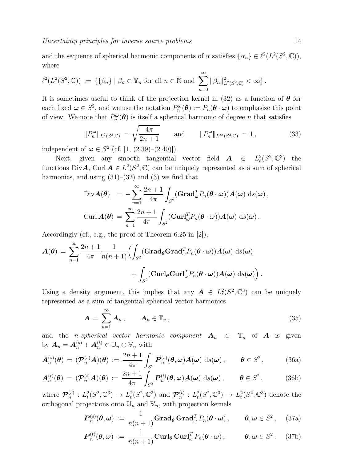and the sequence of spherical harmonic components of  $\alpha$  satisfies  $\{\alpha_n\} \in \ell^2(L^2(S^2, \mathbb{C}))$ , where

$$
\ell^2(L^2(S^2, \mathbb{C})) := \{ \{\beta_n\} \mid \beta_n \in \mathbb{Y}_n \text{ for all } n \in \mathbb{N} \text{ and } \sum_{n=0}^{\infty} ||\beta_n||^2_{L^2(S^2, \mathbb{C})} < \infty \}.
$$

It is sometimes useful to think of the projection kernel in (32) as a function of  $\theta$  for each fixed  $\boldsymbol{\omega} \in S^2$ , and we use the notation  $P_n^{\boldsymbol{\omega}}(\boldsymbol{\theta}) := P_n(\boldsymbol{\theta} \cdot \boldsymbol{\omega})$  to emphasize this point of view. We note that  $P_n^{\omega}(\boldsymbol{\theta})$  is itself a spherical harmonic of degree n that satisfies

$$
||P_n^{\omega}||_{L^2(S^2,\mathbb{C})} = \sqrt{\frac{4\pi}{2n+1}} \quad \text{and} \quad ||P_n^{\omega}||_{L^{\infty}(S^2,\mathbb{C})} = 1, \tag{33}
$$

independent of  $\omega \in S^2$  (cf. [1, (2.39)–(2.40)]).

Next, given any smooth tangential vector field  $\mathbf{A} \in L^2_t(S^2, \mathbb{C}^3)$  the functions  $Div A$ , Curl  $A \in L^2(S^2, \mathbb{C})$  can be uniquely represented as a sum of spherical harmonics, and using  $(31)$ – $(32)$  and  $(3)$  we find that

$$
\text{Div}\boldsymbol{A}(\boldsymbol{\theta}) = -\sum_{n=1}^{\infty} \frac{2n+1}{4\pi} \int_{S^2} (\mathbf{Grad}_{\boldsymbol{\omega}}^T P_n(\boldsymbol{\theta} \cdot \boldsymbol{\omega})) \boldsymbol{A}(\boldsymbol{\omega}) \, \mathrm{d}s(\boldsymbol{\omega}),
$$

$$
\text{Curl}\,\boldsymbol{A}(\boldsymbol{\theta}) = \sum_{n=1}^{\infty} \frac{2n+1}{4\pi} \int_{S^2} (\mathbf{Curl}_{\boldsymbol{\omega}}^T P_n(\boldsymbol{\theta} \cdot \boldsymbol{\omega})) \boldsymbol{A}(\boldsymbol{\omega}) \, \mathrm{d}s(\boldsymbol{\omega}).
$$

Accordingly (cf., e.g., the proof of Theorem 6.25 in [2]),

$$
A(\theta) = \sum_{n=1}^{\infty} \frac{2n+1}{4\pi} \frac{1}{n(n+1)} \Biggl( \int_{S^2} (\text{Grad}_{\theta} \text{Grad}_{\omega}^T P_n(\theta \cdot \omega)) A(\omega) ds(\omega) + \int_{S^2} (\text{Curl}_{\theta} \text{Curl}_{\omega}^T P_n(\theta \cdot \omega)) A(\omega) ds(\omega) \Biggr).
$$

Using a density argument, this implies that any  $A \in L^2_t(S^2, \mathbb{C}^3)$  can be uniquely represented as a sum of tangential spherical vector harmonics

$$
\boldsymbol{A} = \sum_{n=1}^{\infty} \boldsymbol{A}_n, \qquad \boldsymbol{A}_n \in \mathbb{T}_n, \tag{35}
$$

and the *n-spherical vector harmonic component*  $A_n \in \mathbb{T}_n$  of A is given by  $A_n = A_n^{(s)} + A_n^{(t)} \in \mathbb{U}_n \oplus \mathbb{V}_n$  with

$$
\mathbf{A}_n^{(s)}(\boldsymbol{\theta}) = (\boldsymbol{\mathcal{P}}_n^{(s)}\mathbf{A})(\boldsymbol{\theta}) := \frac{2n+1}{4\pi} \int_{S^2} \boldsymbol{P}_n^{(s)}(\boldsymbol{\theta}, \boldsymbol{\omega}) \mathbf{A}(\boldsymbol{\omega}) \, \mathrm{d}s(\boldsymbol{\omega}), \qquad \boldsymbol{\theta} \in S^2, \tag{36a}
$$

$$
\mathbf{A}_n^{(t)}(\boldsymbol{\theta}) = (\boldsymbol{\mathcal{P}}_n^{(t)} \mathbf{A})(\boldsymbol{\theta}) := \frac{2n+1}{4\pi} \int_{S^2} \boldsymbol{P}_n^{(t)}(\boldsymbol{\theta}, \boldsymbol{\omega}) \mathbf{A}(\boldsymbol{\omega}) \, \mathrm{d}s(\boldsymbol{\omega}), \qquad \boldsymbol{\theta} \in S^2,
$$
 (36b)

where  $\mathcal{P}_n^{(s)}: L^2_t(S^2, \mathbb{C}^3) \to L^2_t(S^2, \mathbb{C}^3)$  and  $\mathcal{P}_n^{(t)}: L^2_t(S^2, \mathbb{C}^3) \to L^2_t(S^2, \mathbb{C}^3)$  denote the orthogonal projections onto  $\mathbb{U}_n$  and  $\mathbb{V}_n$ , with projection kernels

$$
\boldsymbol{P}_n^{(s)}(\boldsymbol{\theta},\boldsymbol{\omega}) := \frac{1}{n(n+1)}\mathbf{Grad}_{\boldsymbol{\theta}}^T \operatorname{Grad}_{\boldsymbol{\omega}}^T P_n(\boldsymbol{\theta}\cdot \boldsymbol{\omega}), \qquad \boldsymbol{\theta}, \boldsymbol{\omega} \in S^2, \quad (37a)
$$

$$
\boldsymbol{P}_n^{(t)}(\boldsymbol{\theta}, \boldsymbol{\omega}) := \frac{1}{n(n+1)} \mathbf{Curl}_{\boldsymbol{\omega}} \mathbf{Curl}_{\boldsymbol{\omega}}^T P_n(\boldsymbol{\theta} \cdot \boldsymbol{\omega}), \qquad \boldsymbol{\theta}, \boldsymbol{\omega} \in S^2. \quad (37b)
$$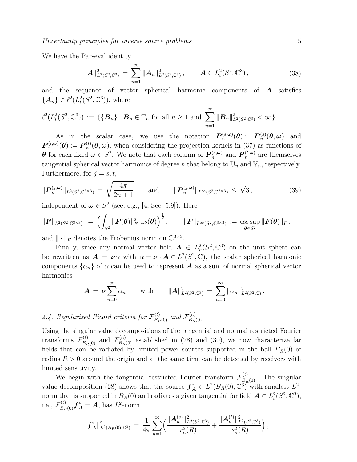We have the Parseval identity

$$
\|\mathbf{A}\|_{L^2(S^2,\mathbb{C}^3)}^2 = \sum_{n=1}^{\infty} \|\mathbf{A}_n\|_{L^2(S^2,\mathbb{C}^3)}^2, \qquad \mathbf{A} \in L^2_t(S^2,\mathbb{C}^3), \tag{38}
$$

and the sequence of vector spherical harmonic components of A satisfies  ${A_n} \in \ell^2(L^2_t(S^2, \mathbb{C}^3))$ , where

 $\ell^2(L_t^2(S^2, \mathbb{C}^3)) := \{ \{ \boldsymbol{B}_n \} \mid \boldsymbol{B}_n \in \mathbb{T}_n \text{ for all } n \geq 1 \text{ and } \sum_{n=1}^{\infty} \ell^2(L_t^2(S^2, \mathbb{C}^3)) \text{ for all } n \geq 1 \text{ and } \sum_{n=1}^{\infty} \ell^2(L_t^2(S^2, \mathbb{C}^3)) \text{ for all } n \geq 1 \text{ and } \sum_{n=1}^{\infty} \ell^2(L_t^2(S^2, \mathbb{C}^3)) \text{ for all } n \geq 1 \text{ and } \$  $n=1$  $\|\boldsymbol{B}_{n}\|_{L^2(S^2,\mathbb{C}^3)}^2<\infty\}$  .

As in the scalar case, we use the notation  $\boldsymbol{P}_n^{(s,\omega)}(\boldsymbol{\theta}) := \boldsymbol{P}_n^{(s)}(\boldsymbol{\theta}, \omega)$  and  $\bm{P}_n^{(t,\omega)}(\bm{\theta}) := \bm{P}_n^{(t)}(\bm{\theta},\omega)$ , when considering the projection kernels in (37) as functions of  $\theta$  for each fixed  $\omega \in S^2$ . We note that each column of  $P_n^{(s,\omega)}$  $_n^{(s,\omega)}$  and  $\boldsymbol{P}_n^{(t,\omega)}$  $_n^{(t,\omega)}$  are themselves tangential spherical vector harmonics of degree n that belong to  $\mathbb{U}_n$  and  $\mathbb{V}_n$ , respectively. Furthermore, for  $j = s, t$ ,

$$
\|\boldsymbol{P}_n^{(j,\omega)}\|_{L^2(S^2,\mathbb{C}^{3\times 3})} = \sqrt{\frac{4\pi}{2n+1}} \quad \text{and} \quad \|\boldsymbol{P}_n^{(j,\omega)}\|_{L^\infty(S^2,\mathbb{C}^{3\times 3})} \leq \sqrt{3},\tag{39}
$$

independent of  $\boldsymbol{\omega} \in S^2$  (see, e.g., [4, Sec. 5.9]). Here

$$
\|\bm{F}\|_{L^2(S^2,\mathbb{C}^{3\times 3})} := \left(\int_{S^2} \|\bm{F}(\bm{\theta})\|_F^2 \,\,\mathrm{d} s(\bm{\theta})\right)^{\frac{1}{2}}, \qquad \|\bm{F}\|_{L^\infty(S^2,\mathbb{C}^{3\times 3})} := \operatorname*{ess\,sup}_{\bm{\theta}\in S^2} \|\bm{F}(\bm{\theta})\|_F\,,
$$

and  $\|\cdot\|_F$  denotes the Frobenius norm on  $\mathbb{C}^{3\times 3}$ .

Finally, since any normal vector field  $\mathbf{A} \in L^2_n(S^2, \mathbb{C}^3)$  on the unit sphere can be rewritten as  $\mathbf{A} = \boldsymbol{\nu} \alpha$  with  $\alpha = \boldsymbol{\nu} \cdot \mathbf{A} \in L^2(S^2, \mathbb{C})$ , the scalar spherical harmonic components  $\{\alpha_n\}$  of  $\alpha$  can be used to represent **A** as a sum of normal spherical vector harmonics

$$
\boldsymbol{A} = \boldsymbol{\nu} \sum_{n=0}^{\infty} \alpha_n \quad \text{with} \quad \|\boldsymbol{A}\|_{L^2(S^2,\mathbb{C}^3)}^2 = \sum_{n=0}^{\infty} \|\alpha_n\|_{L^2(S^2,\mathbb{C})}^2.
$$

4.4. Regularized Picard criteria for  $\mathcal{F}_{B_R(0)}^{(t)}$  and  $\mathcal{F}_{B_R}^{(n)}$  $B_R(0)$ 

Using the singular value decompositions of the tangential and normal restricted Fourier transforms  $\mathcal{F}_{B_R(0)}^{(t)}$  and  $\mathcal{F}_{B_R(0)}^{(n)}$  established in (28) and (30), we now characterize far fields that can be radiated by limited power sources supported in the ball  $B_R(0)$  of radius  $R > 0$  around the origin and at the same time can be detected by receivers with limited sensitivity.

We begin with the tangential restricted Fourier transform  $\mathcal{F}_{B_R(0)}^{(t)}$ . The singular value decomposition (28) shows that the source  $f_A^* \in L^2(B_R(0), \mathbb{C}^3)$  with smallest  $L^2$ norm that is supported in  $B_R(0)$  and radiates a given tangential far field  $\mathbf{A} \in L^2_t(S^2, \mathbb{C}^3)$ , i.e.,  $\mathcal{F}_{B_R(0)}^{(t)} \boldsymbol{f}_A^* = \boldsymbol{A}$ , has  $L^2$ -norm

$$
\|\boldsymbol{f}_{\boldsymbol{A}}^*\|_{L^2(B_R(0),\mathbb{C}^3)}^2 = \frac{1}{4\pi} \sum_{n=1}^{\infty} \Big( \frac{\|\boldsymbol{A}_n^{(s)}\|_{L^2(S^2,\mathbb{C}^3)}^2}{r_n^2(R)} + \frac{\|\boldsymbol{A}_n^{(t)}\|_{L^2(S^2,\mathbb{C}^3)}^2}{s_n^2(R)} \Big),
$$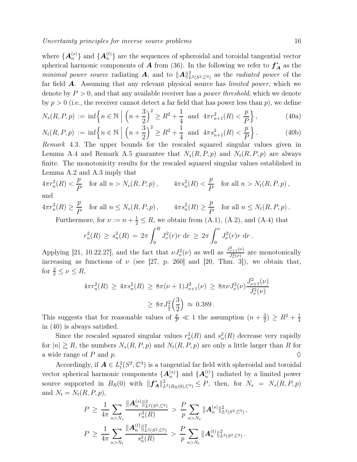where  ${A_n^{(s)}}$  and  ${A_n^{(t)}}$  are the sequences of spheroidal and toroidal tangential vector spherical harmonic components of  $A$  from (36). In the following we refer to  $f_A^*$  as the minimal power source radiating A, and to  $||A||_{L^2(S^2,\mathbb{C}^3)}^2$  as the radiated power of the far field A. Assuming that any relevant physical source has limited power, which we denote by  $P > 0$ , and that any available receiver has a *power threshold*, which we denote by  $p > 0$  (i.e., the receiver cannot detect a far field that has power less than p), we define

$$
N_s(R, P, p) := \inf \left\{ n \in \mathbb{N} \mid \left( n + \frac{3}{2} \right)^2 \ge R^2 + \frac{1}{4} \text{ and } 4\pi r_{n+1}^2(R) < \frac{p}{P} \right\},\tag{40a}
$$

$$
N_t(R, P, p) := \inf \left\{ n \in \mathbb{N} \mid \left( n + \frac{3}{2} \right)^2 \ge R^2 + \frac{1}{4} \text{ and } 4\pi s_{n+1}^2(R) < \frac{p}{P} \right\}. \tag{40b}
$$

Remark 4.3. The upper bounds for the rescaled squared singular values given in Lemma A.4 and Remark A.5 guarantee that  $N_s(R, P, p)$  and  $N_t(R, P, p)$  are always finite. The monotonicity results for the rescaled squared singular values established in Lemma A.2 and A.3 imply that

$$
4\pi r_n^2(R) < \frac{p}{P} \quad \text{for all } n > N_s(R, P, p), \qquad 4\pi s_n^2(R) < \frac{p}{P} \quad \text{for all } n > N_t(R, P, p),
$$
\nand

$$
4\pi r_n^2(R) \ge \frac{p}{P} \quad \text{for all } n \le N_s(R, P, p), \qquad 4\pi s_n^2(R) \ge \frac{p}{P} \quad \text{for all } n \le N_t(R, P, p).
$$
  
Furthermore for  $\nu := n + \frac{1}{2} \le R$  we obtain from (A.1) (A.2) and (A.4) that

Furthermore, for  $\nu := n + \frac{1}{2} \le R$ , we obtain from (A.1), (A.2), and (A.4) that

$$
r_n^2(R) \ge s_n^2(R) = 2\pi \int_0^R J_\nu^2(r) r \, dr \ge 2\pi \int_0^\nu J_\nu^2(r) r \, dr \, .
$$

Applying [21, 10.22.27], and the fact that  $\nu J_{\nu}^2(\nu)$  as well as  $\frac{J_{\nu+1}^2(\nu)}{J_{\nu}^2(\nu)}$  $\frac{\nu+1^{(\nu)}}{J_{\nu}^2(\nu)}$  are monotonically increasing as functions of  $\nu$  (see [27, p. 260] and [20, Thm. 3]), we obtain that, for  $\frac{3}{2} \leq \nu \leq R$ ,

$$
4\pi r_n^2(R) \ge 4\pi s_n^2(R) \ge 8\pi(\nu+1)J_{\nu+1}^2(\nu) \ge 8\pi \nu J_{\nu}^2(\nu) \frac{J_{\nu+1}^2(\nu)}{J_{\nu}^2(\nu)}
$$
  

$$
\ge 8\pi J_{\frac{5}{2}}^2\left(\frac{3}{2}\right) \approx 0.389.
$$

This suggests that for reasonable values of  $\frac{p}{P} \ll 1$  the assumption  $(n + \frac{3}{2})$  $\frac{3}{2}$ )  $\geq R^2 + \frac{1}{4}$ 4 in (40) is always satisfied.

Since the rescaled squared singular values  $r_n^2(R)$  and  $s_n^2(R)$  decrease very rapidly for  $|n| \gtrsim R$ , the numbers  $N_s(R, P, p)$  and  $N_t(R, P, p)$  are only a little larger than R for a wide range of P and p.  $\Diamond$ 

Accordingly, if  $A \in L^2_t(S^2, \mathbb{C}^3)$  is a tangential far field with spheroidal and toroidal vector spherical harmonic components  $\{A_n^{(s)}\}$  and  $\{A_n^{(t)}\}$  radiated by a limited power source supported in  $B_R(0)$  with  $||\mathbf{f}_A^*||_{L^2(B_R(0),\mathbb{C}^3)}^2 \leq P$ , then, for  $N_s = N_s(R, P, p)$ and  $N_t = N_t(R, P, p)$ ,

$$
P \geq \frac{1}{4\pi} \sum_{n>N_s} \frac{\|A_n^{(s)}\|_{L^2(S^2,\mathbb{C}^3)}^2}{r_n^2(R)} > \frac{P}{p} \sum_{n>N_s} \|A_n^{(s)}\|_{L^2(S^2,\mathbb{C}^3)}^2,
$$
  

$$
P \geq \frac{1}{4\pi} \sum_{n>N_t} \frac{\|A_n^{(t)}\|_{L^2(S^2,\mathbb{C}^3)}^2}{s_n^2(R)} > \frac{P}{p} \sum_{n>N_t} \|A_n^{(t)}\|_{L^2(S^2,\mathbb{C}^3)}^2.
$$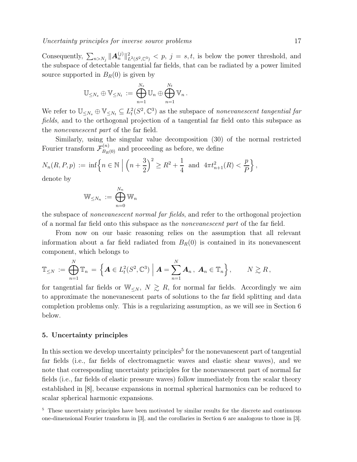Consequently,  $\sum_{n>N_j} ||A_n^{(j)}||^2_{L^2(S^2,\mathbb{C}^3)} < p, j = s, t$ , is below the power threshold, and the subspace of detectable tangential far fields, that can be radiated by a power limited source supported in  $B_R(0)$  is given by

$$
\mathbb{U}_{\leq N_s} \oplus \mathbb{V}_{\leq N_t} := \bigoplus_{n=1}^{N_s} \mathbb{U}_n \oplus \bigoplus_{n=1}^{N_t} \mathbb{V}_n.
$$

We refer to  $\mathbb{U}_{\leq N_s} \oplus \mathbb{V}_{\leq N_t} \subseteq L^2_t(S^2, \mathbb{C}^3)$  as the subspace of *nonevanescent tangential far* fields, and to the orthogonal projection of a tangential far field onto this subspace as the nonevanescent part of the far field.

Similarly, using the singular value decomposition (30) of the normal restricted Fourier transform  $\mathcal{F}_{B_R(0)}^{(n)}$  and proceeding as before, we define

$$
N_n(R, P, p) := \inf \left\{ n \in \mathbb{N} \mid \left( n + \frac{3}{2} \right)^2 \ge R^2 + \frac{1}{4} \text{ and } 4\pi t_{n+1}^2(R) < \frac{p}{P} \right\},\
$$

denote by

$$
\mathbb{W}_{\leq N_n} \,:=\, \bigoplus_{n=0}^{N_n} \mathbb{W}_n
$$

the subspace of nonevanescent normal far fields, and refer to the orthogonal projection of a normal far field onto this subspace as the nonevanescent part of the far field.

From now on our basic reasoning relies on the assumption that all relevant information about a far field radiated from  $B_R(0)$  is contained in its nonevanescent component, which belongs to

$$
\mathbb{T}_{\leq N} := \bigoplus_{n=1}^N \mathbb{T}_n = \left\{ \mathbf{A} \in L^2_t(S^2, \mathbb{C}^3) \; \Big| \; \mathbf{A} = \sum_{n=1}^N \mathbf{A}_n, \; \mathbf{A}_n \in \mathbb{T}_n \right\}, \qquad N \gtrsim R,
$$

for tangential far fields or  $\mathbb{W}_{\leq N}$ ,  $N \geq R$ , for normal far fields. Accordingly we aim to approximate the nonevanescent parts of solutions to the far field splitting and data completion problems only. This is a regularizing assumption, as we will see in Section 6 below.

#### 5. Uncertainty principles

In this section we develop uncertainty principles<sup>5</sup> for the nonevanescent part of tangential far fields (i.e., far fields of electromagnetic waves and elastic shear waves), and we note that corresponding uncertainty principles for the nonevanescent part of normal far fields (i.e., far fields of elastic pressure waves) follow immediately from the scalar theory established in [8], because expansions in normal spherical harmonics can be reduced to scalar spherical harmonic expansions.

<sup>&</sup>lt;sup>5</sup> These uncertainty principles have been motivated by similar results for the discrete and continuous one-dimensional Fourier transform in [3], and the corollaries in Section 6 are analogous to those in [3].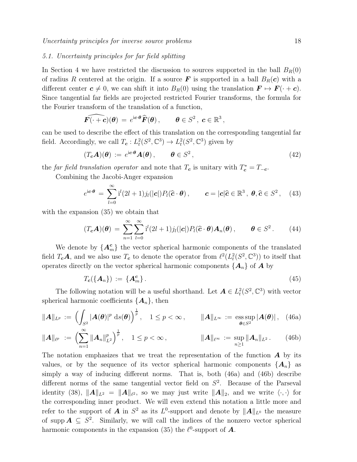# 5.1. Uncertainty principles for far field splitting

In Section 4 we have restricted the discussion to sources supported in the ball  $B_R(0)$ of radius R centered at the origin. If a source  $\boldsymbol{F}$  is supported in a ball  $B_R(\boldsymbol{c})$  with a different center  $c \neq 0$ , we can shift it into  $B_R(0)$  using the translation  $\mathbf{F} \mapsto \mathbf{F}(\cdot + c)$ . Since tangential far fields are projected restricted Fourier transforms, the formula for the Fourier transform of the translation of a function,

$$
\widehat{\boldsymbol{F}(\cdot+\boldsymbol{c})}(\boldsymbol{\theta})\,=\,e^{\mathrm{i}\boldsymbol{c}\cdot\boldsymbol{\theta}}\,\widehat{\boldsymbol{F}}(\boldsymbol{\theta})\,,\qquad\boldsymbol{\theta}\in S^2\,,\;\boldsymbol{c}\in\mathbb{R}^3\,,
$$

can be used to describe the effect of this translation on the corresponding tangential far field. Accordingly, we call  $T_c: L^2_t(S^2, \mathbb{C}^3) \to L^2_t(S^2, \mathbb{C}^3)$  given by

$$
(T_c \mathbf{A})(\boldsymbol{\theta}) := e^{i\mathbf{c}\cdot\boldsymbol{\theta}} \mathbf{A}(\boldsymbol{\theta}), \qquad \boldsymbol{\theta} \in S^2,
$$
\n<sup>(42)</sup>

the *far field translation operator* and note that  $T_c$  is unitary with  $T_c^* = T_{-c}$ .

Combining the Jacobi-Anger expansion

$$
e^{i\mathbf{c}\cdot\boldsymbol{\theta}} = \sum_{l=0}^{\infty} i^l (2l+1) j_l(|\mathbf{c}|) P_l(\widehat{\mathbf{c}}\cdot\boldsymbol{\theta}), \qquad \mathbf{c} = |\mathbf{c}| \widehat{\mathbf{c}} \in \mathbb{R}^3, \ \boldsymbol{\theta}, \widehat{\mathbf{c}} \in S^2, \quad (43)
$$

with the expansion (35) we obtain that

$$
(T_c\mathbf{A})(\boldsymbol{\theta}) = \sum_{n=1}^{\infty} \sum_{l=0}^{\infty} \mathrm{i}^l (2l+1) j_l(|\mathbf{c}|) P_l(\widehat{\mathbf{c}} \cdot \boldsymbol{\theta}) \mathbf{A}_n(\boldsymbol{\theta}), \qquad \boldsymbol{\theta} \in S^2.
$$
 (44)

We denote by  ${A_m^c}$  the vector spherical harmonic components of the translated field  $T_c \mathbf{A}$ , and we also use  $T_c$  to denote the operator from  $\ell^2(L_t^2(S^2, \mathbb{C}^3))$  to itself that operates directly on the vector spherical harmonic components  ${A_n}$  of A by

$$
T_c({A_n}) := {A_m^c}.
$$
\n
$$
(45)
$$

The following notation will be a useful shorthand. Let  $\mathbf{A} \in L^2_t(S^2, \mathbb{C}^3)$  with vector spherical harmonic coefficients  ${A_n}$ , then

$$
\|\mathbf{A}\|_{L^p} := \left(\int_{S^2} |\mathbf{A}(\boldsymbol{\theta})|^p \, \mathrm{d} s(\boldsymbol{\theta})\right)^{\frac{1}{p}}, \quad 1 \le p < \infty, \qquad \|\mathbf{A}\|_{L^\infty} := \operatorname*{ess\,sup}_{\boldsymbol{\theta} \in S^2} |\mathbf{A}(\boldsymbol{\theta})|, \quad (46a)
$$

$$
\|\mathbf{A}\|_{\ell^p} \; := \; \Big( \sum_{n=1}^{\infty} \|\mathbf{A}_n\|_{L^2}^p \Big)^{\frac{1}{p}}, \quad 1 \leq p < \infty \,, \qquad \qquad \|\mathbf{A}\|_{\ell^\infty} \; := \; \sup_{n \geq 1} \|\mathbf{A}_n\|_{L^2} \,. \tag{46b}
$$

The notation emphasizes that we treat the representation of the function  $\boldsymbol{A}$  by its values, or by the sequence of its vector spherical harmonic components  ${A_n}$  as simply a way of inducing different norms. That is, both (46a) and (46b) describe different norms of the same tangential vector field on  $S<sup>2</sup>$ . Because of the Parseval identity (38),  $||A||_{L^2} = ||A||_{\ell^2}$ , so we may just write  $||A||_2$ , and we write  $\langle \cdot, \cdot \rangle$  for the corresponding inner product. We will even extend this notation a little more and refer to the support of  $\boldsymbol{A}$  in  $S^2$  as its  $L^0$ -support and denote by  $\|\boldsymbol{A}\|_{L^0}$  the measure of supp  $A \subseteq S^2$ . Similarly, we will call the indices of the nonzero vector spherical harmonic components in the expansion (35) the  $\ell^0$ -support of  $A$ .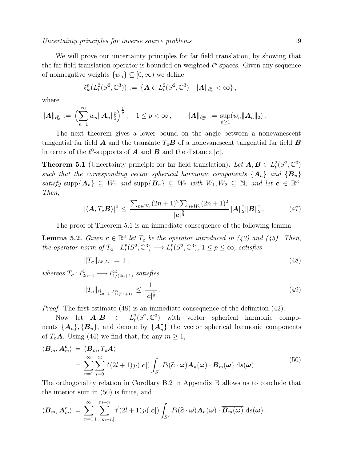Uncertainty principles for inverse source problems 19

We will prove our uncertainty principles for far field translation, by showing that the far field translation operator is bounded on weighted  $\ell^p$  spaces. Given any sequence of nonnegative weights  $\{w_n\} \subseteq [0,\infty)$  we define

$$
\ell_w^p(L_t^2(S^2,\mathbb{C}^3)) := \{ \mathbf{A} \in L_t^2(S^2,\mathbb{C}^3) \mid ||\mathbf{A}||_{\ell_w^p} < \infty \},\
$$

where

$$
\|A\|_{\ell^p_w} := \left(\sum_{n=1}^{\infty} w_n \|A_n\|_2^p\right)^{\frac{1}{p}}, \quad 1 \leq p < \infty, \qquad \|A\|_{\ell^{\infty}_w} := \sup_{n \geq 1} (w_n \|A_n\|_2).
$$

The next theorem gives a lower bound on the angle between a nonevanescent tangential far field  $\bm{A}$  and the translate  $T_c\bm{B}$  of a nonevanescent tangential far field  $\bm{B}$ in terms of the  $\ell^0$ -supports of **A** and **B** and the distance  $|c|$ .

**Theorem 5.1** (Uncertainty principle for far field translation). Let  $A, B \in L^2_t(S^2, \mathbb{C}^3)$ such that the corresponding vector spherical harmonic components  ${A_n}$  and  ${B_n}$ satisfy supp $\{A_n\} \subseteq W_1$  and supp $\{B_n\} \subseteq W_2$  with  $W_1, W_2 \subseteq \mathbb{N}$ , and let  $\mathbf{c} \in \mathbb{R}^3$ . Then,

$$
|\langle \mathbf{A}, T_{\mathbf{c}} \mathbf{B} \rangle|^2 \leq \frac{\sum_{n \in W_1} (2n+1)^2 \sum_{n \in W_2} (2n+1)^2}{|\mathbf{c}|^{\frac{5}{3}}} \|\mathbf{A}\|_2^2 \|\mathbf{B}\|_2^2. \tag{47}
$$

The proof of Theorem 5.1 is an immediate consequence of the following lemma.

**Lemma 5.2.** Given  $c \in \mathbb{R}^3$  let  $T_c$  be the operator introduced in (42) and (45). Then, the operator norm of  $T_c$ :  $L_t^p$  $L_t^p(S^2, \mathbb{C}^3) \longrightarrow L_t^p$  $t^{p}(S^2, \mathbb{C}^3), 1 \leq p \leq \infty$ , satisfies

$$
||T_c||_{L^p, L^p} = 1, \t\t(48)
$$

whereas  $T_c: \ell^1_{2n+1} \longrightarrow \ell^{\infty}_{1/(2n+1)}$  satisfies

$$
||T_{c}||_{\ell_{2n+1}^{1}, \ell_{1/(2n+1)}^{\infty}} \leq \frac{1}{|c|^{\frac{5}{6}}}.
$$
\n(49)

Proof. The first estimate (48) is an immediate consequence of the definition (42).

Now let  $A, B \in L^2_t(S^2, \mathbb{C}^3)$  with vector spherical harmonic components  ${A_n}$ ,  ${B_n}$ , and denote by  ${A_n^c}$  the vector spherical harmonic components of  $T_c\mathbf{A}$ . Using (44) we find that, for any  $m \geq 1$ ,

$$
\langle \mathbf{B}_m, \mathbf{A}_m^c \rangle = \langle \mathbf{B}_m, T_c \mathbf{A} \rangle
$$
  
= 
$$
\sum_{n=1}^{\infty} \sum_{l=0}^{\infty} \mathrm{i}^l (2l+1) j_l(|\mathbf{c}|) \int_{S^2} P_l(\hat{\mathbf{c}} \cdot \boldsymbol{\omega}) \mathbf{A}_n(\boldsymbol{\omega}) \cdot \overline{\mathbf{B}_m(\boldsymbol{\omega})} \, \mathrm{d}s(\boldsymbol{\omega}).
$$
 (50)

The orthogonality relation in Corollary B.2 in Appendix B allows us to conclude that the interior sum in (50) is finite, and

$$
\langle \mathbf{B}_m, \mathbf{A}_m^{\mathbf{c}} \rangle \, = \, \sum_{n=1}^{\infty} \sum_{l=|m-n|}^{m+n} \mathrm{i}^l (2l+1) j_l(|\mathbf{c}|) \int_{S^2} P_l(\widehat{\mathbf{c}} \cdot \boldsymbol{\omega}) \mathbf{A}_n(\boldsymbol{\omega}) \cdot \overline{\mathbf{B}_m(\boldsymbol{\omega})} \, \mathrm{d} s(\boldsymbol{\omega}) \, .
$$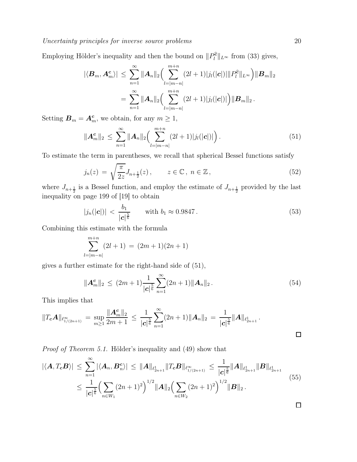Employing Hölder's inequality and then the bound on  $||P_l^{\hat{c}}||_{L^{\infty}}$  from (33) gives,

$$
|\langle \mathbf{B}_{m}, \mathbf{A}_{m}^{c} \rangle| \leq \sum_{n=1}^{\infty} ||\mathbf{A}_{n}||_{2} \Big( \sum_{l=|m-n|}^{m+n} (2l+1)|j_{l}(|\mathbf{c}|)||P_{l}^{\widehat{\mathbf{c}}}\|_{L^{\infty}} \Big) ||\mathbf{B}_{m}||_{2}
$$
  

$$
= \sum_{n=1}^{\infty} ||\mathbf{A}_{n}||_{2} \Big( \sum_{l=|m-n|}^{m+n} (2l+1)|j_{l}(|\mathbf{c}|)| \Big) ||\mathbf{B}_{m}||_{2}.
$$

Setting  $\boldsymbol{B}_m = \boldsymbol{A}_m^{\boldsymbol{c}}$ , we obtain, for any  $m \geq 1$ ,

$$
\|\mathbf{A}_m^{\mathbf{c}}\|_2 \le \sum_{n=1}^{\infty} \|\mathbf{A}_n\|_2 \Big(\sum_{l=|m-n|}^{m+n} (2l+1)|j_l(|\mathbf{c}|)|\Big). \tag{51}
$$

To estimate the term in parentheses, we recall that spherical Bessel functions satisfy

$$
j_n(z) = \sqrt{\frac{\pi}{2z}} J_{n+\frac{1}{2}}(z), \qquad z \in \mathbb{C}, \ n \in \mathbb{Z},
$$
\n
$$
(52)
$$

where  $J_{n+\frac{1}{2}}$  is a Bessel function, and employ the estimate of  $J_{n+\frac{1}{2}}$  provided by the last inequality on page 199 of [19] to obtain

$$
|j_n(|c|)| < \frac{b_1}{|c|^{\frac{5}{6}}} \qquad \text{with } b_1 \approx 0.9847. \tag{53}
$$

Combining this estimate with the formula

$$
\sum_{l=|m-n|}^{m+n} (2l+1) = (2m+1)(2n+1)
$$

gives a further estimate for the right-hand side of (51),

$$
\|\mathbf{A}_m^c\|_2 \le (2m+1) \frac{1}{|\mathbf{c}|^{\frac{5}{6}}} \sum_{n=1}^{\infty} (2n+1) \|\mathbf{A}_n\|_2.
$$
 (54)

This implies that

$$
||T_{\boldsymbol{c}}\boldsymbol{A}||_{\ell^{\infty}_{1/(2n+1)}} = \sup_{m\geq 1} \frac{\|\boldsymbol{A}_m^{\boldsymbol{c}}\|_2}{2m+1} \leq \frac{1}{|\boldsymbol{c}|^{\frac{5}{6}}} \sum_{n=1}^{\infty} (2n+1) ||\boldsymbol{A}_n||_2 = \frac{1}{|\boldsymbol{c}|^{\frac{5}{6}}} ||\boldsymbol{A}||_{\ell^1_{2n+1}}.
$$

Proof of Theorem 5.1. Hölder's inequality and (49) show that

$$
|\langle \mathbf{A}, T_{\mathbf{c}} \mathbf{B} \rangle| \leq \sum_{n=1}^{\infty} |\langle \mathbf{A}_n, \mathbf{B}_n^{\mathbf{c}} \rangle| \leq \|\mathbf{A}\|_{\ell_{2n+1}^1} \|T_{\mathbf{c}} \mathbf{B}\|_{\ell_{1/(2n+1)}^{\infty}} \leq \frac{1}{|\mathbf{c}|^{\frac{5}{6}}} \|\mathbf{A}\|_{\ell_{2n+1}^1} \|\mathbf{B}\|_{\ell_{2n+1}^1}
$$
  

$$
\leq \frac{1}{|\mathbf{c}|^{\frac{5}{6}}} \Big( \sum_{n \in W_1} (2n+1)^2 \Big)^{1/2} \|\mathbf{A}\|_2 \Big( \sum_{n \in W_2} (2n+1)^2 \Big)^{1/2} \|\mathbf{B}\|_2.
$$
 (55)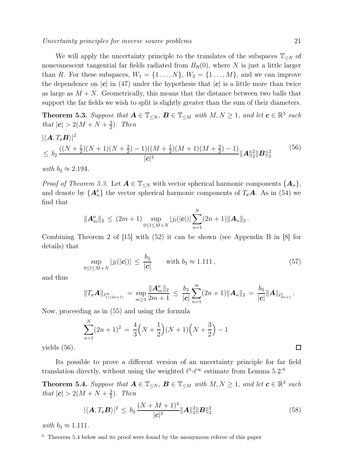We will apply the uncertainty principle to the translates of the subspaces  $\mathbb{T}_{\leq N}$  of nonevanescent tangential far fields radiated from  $B_R(0)$ , where N is just a little larger than R. For these subspaces,  $W_1 = \{1 \ldots, N\}$ ,  $W_2 = \{1 \ldots, M\}$ , and we can improve the dependence on  $|c|$  in (47) under the hypothesis that  $|c|$  is a little more than twice as large as  $M + N$ . Geometrically, this means that the distance between two balls that support the far fields we wish to split is slightly greater than the sum of their diameters.

**Theorem 5.3.** Suppose that  $A \in \mathbb{T}_{\leq N}$ ,  $B \in \mathbb{T}_{\leq M}$  with  $M, N \geq 1$ , and let  $c \in \mathbb{R}^3$  such that  $|c| > 2(M + N + \frac{3}{2})$  $(\frac{3}{2})$ . Then

$$
|\langle \mathbf{A}, T_{\mathbf{c}} \mathbf{B} \rangle|^2
$$
  
\n
$$
\leq b_2 \frac{((N + \frac{1}{2})(N + 1)(N + \frac{3}{2}) - 1)((M + \frac{1}{2})(M + 1)(M + \frac{3}{2}) - 1)}{|\mathbf{c}|^2} ||\mathbf{A}||_2^2 ||\mathbf{B}||_2^2
$$
\n(56)

with  $b_2 \approx 2.194$ .

*Proof of Theorem 5.3.* Let  $A \in \mathbb{T}_{\leq N}$  with vector spherical harmonic components  $\{A_n\}$ , and denote by  ${A_n^c}$  the vector spherical harmonic components of  $T_cA$ . As in (54) we find that

$$
||A_m^c||_2 \le (2m+1) \sup_{0 \le l \le M+N} |j_l(|c|)| \sum_{n=1}^N (2n+1) ||A_n||_2.
$$

Combining Theorem 2 of [15] with (52) it can be shown (see Appendix B in [8] for details) that

$$
\sup_{0 \le l \le M+N} |j_l(|\mathbf{c}|)| \le \frac{b_3}{|\mathbf{c}|} \qquad \text{with } b_3 \approx 1.111, \tag{57}
$$

and thus

$$
||T_{\mathbf{c}}\mathbf{A}||_{\ell^{\infty}_{1/(2n+1)}} = \sup_{m\geq 1} \frac{||\mathbf{A}_m^{\mathbf{c}}||_2}{2m+1} \leq \frac{b_3}{|\mathbf{c}|} \sum_{n=1}^{\infty} (2n+1) ||\mathbf{A}_n||_2 = \frac{b_3}{|\mathbf{c}|} ||\mathbf{A}||_{\ell^1_{2n+1}}.
$$

Now, proceeding as in (55) and using the formula

$$
\sum_{n=1}^{N} (2n+1)^2 = \frac{4}{3} \left(N + \frac{1}{2}\right)(N+1)\left(N + \frac{3}{2}\right) - 1
$$

yields (56).

Its possible to prove a different version of an uncertainty principle for far field translation directly, without using the weighted  $\ell^1$ - $\ell^\infty$  estimate from Lemma 5.2.<sup>6</sup>

**Theorem 5.4.** Suppose that  $A \in \mathbb{T}_{\leq N}$ ,  $B \in \mathbb{T}_{\leq M}$  with  $M, N \geq 1$ , and let  $c \in \mathbb{R}^3$  such that  $|c| > 2(M + N + \frac{3}{2})$  $(\frac{3}{2})$ . Then

$$
|\langle \mathbf{A}, T_{\mathbf{c}} \mathbf{B} \rangle|^2 \le b_3 \frac{(N + M + 1)^4}{|\mathbf{c}|^2} ||\mathbf{A}||_2^2 ||\mathbf{B}||_2^2
$$
 (58)

with  $b_3 \approx 1.111$ .

<sup>6</sup> Theorem 5.4 below and its proof were found by the anonymous referee of this paper

 $\Box$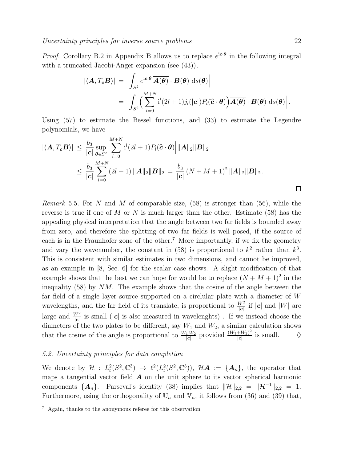*Proof.* Corollary B.2 in Appendix B allows us to replace  $e^{i\mathbf{c} \cdot \boldsymbol{\theta}}$  in the following integral with a truncated Jacobi-Anger expansion (see (43)),

$$
|\langle \mathbf{A}, T_{\mathbf{c}} \mathbf{B} \rangle| = \left| \int_{S^2} e^{i \mathbf{c} \cdot \boldsymbol{\theta}} \overline{\mathbf{A}(\boldsymbol{\theta})} \cdot \mathbf{B}(\boldsymbol{\theta}) \, ds(\boldsymbol{\theta}) \right|
$$
  
= 
$$
\left| \int_{S^2} \left( \sum_{l=0}^{M+N} i^l (2l+1) j_l(|\mathbf{c}|) P_l(\widehat{\mathbf{c}} \cdot \boldsymbol{\theta}) \right) \overline{\mathbf{A}(\boldsymbol{\theta})} \cdot \mathbf{B}(\boldsymbol{\theta}) \, ds(\boldsymbol{\theta}) \right|.
$$

Using (57) to estimate the Bessel functions, and (33) to estimate the Legendre polynomials, we have

$$
\begin{aligned} |\langle \mathbf{A}, T_{\mathbf{c}} \mathbf{B} \rangle| &\leq \frac{b_3}{|\mathbf{c}|} \sup_{\boldsymbol{\theta} \in S^2} \Big| \sum_{l=0}^{M+N} \mathrm{i}^l (2l+1) P_l(\widehat{\mathbf{c}} \cdot \boldsymbol{\theta}) \Big| \| \mathbf{A} \|_2 \| \mathbf{B} \|_2 \\ &\leq \frac{b_3}{|\mathbf{c}|} \sum_{l=0}^{M+N} (2l+1) \| \mathbf{A} \|_2 \| \mathbf{B} \|_2 = \frac{b_3}{|\mathbf{c}|} (N+M+1)^2 \| \mathbf{A} \|_2 \| \mathbf{B} \|_2 \,. \end{aligned}
$$

Remark 5.5. For N and M of comparable size,  $(58)$  is stronger than  $(56)$ , while the reverse is true if one of M or N is much larger than the other. Estimate  $(58)$  has the appealing physical interpretation that the angle between two far fields is bounded away from zero, and therefore the splitting of two far fields is well posed, if the source of each is in the Fraunhofer zone of the other.<sup>7</sup> More importantly, if we fix the geometry and vary the wavenumber, the constant in (58) is proportional to  $k^2$  rather than  $k^3$ . This is consistent with similar estimates in two dimensions, and cannot be improved, as an example in [8, Sec. 6] for the scalar case shows. A slight modification of that example shows that the best we can hope for would be to replace  $(N + M + 1)^2$  in the inequality (58) by  $NM$ . The example shows that the cosine of the angle between the far field of a single layer source supported on a circlular plate with a diameter of W wavelengths, and the far field of its translate, is proportional to  $\frac{W^2}{|c|}$  if  $|c|$  and  $|W|$  are large and  $\frac{W^2}{|c|}$  is small  $(|c|$  is also measured in wavelenghts). If we instead choose the diameters of the two plates to be different, say  $W_1$  and  $W_2$ , a similar calculation shows that the cosine of the angle is proportional to  $\frac{W_1 W_2}{|c|}$  provided  $\frac{(W_1 + W_2)^2}{|c|}$  $\frac{+w_2|^2}{|c|}$  is small.  $\Diamond$ 

# 5.2. Uncertainty principles for data completion

We denote by  $\mathcal{H}$  :  $L_t^2(S^2, \mathbb{C}^3) \to \ell^2(L_t^2(S^2, \mathbb{C}^3)),$   $\mathcal{H}\mathbf{A} := {\mathbf{A}_n}$ , the operator that maps a tangential vector field  $A$  on the unit sphere to its vector spherical harmonic components  $\{\mathbf{A}_n\}$ . Parseval's identity (38) implies that  $\|\mathcal{H}\|_{2,2} = \|\mathcal{H}^{-1}\|_{2,2} = 1$ . Furthermore, using the orthogonality of  $\mathbb{U}_n$  and  $\mathbb{V}_n$ , it follows from (36) and (39) that,

<sup>7</sup> Again, thanks to the anonymous referee for this observation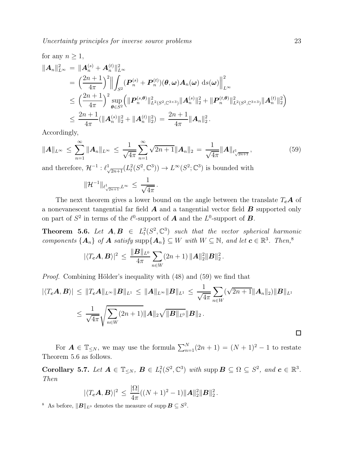for any 
$$
n \ge 1
$$
,  
\n
$$
\|A_n\|_{L^{\infty}}^2 = \|A_n^{(s)} + A_n^{(t)}\|_{L^{\infty}}^2
$$
\n
$$
= \left(\frac{2n+1}{4\pi}\right)^2 \Big\| \int_{S^2} (\boldsymbol{P}_n^{(s)} + \boldsymbol{P}_n^{(t)}) (\boldsymbol{\theta}, \boldsymbol{\omega}) \boldsymbol{A}_n(\boldsymbol{\omega}) \, ds(\boldsymbol{\omega}) \Big\|_{L^{\infty}}^2
$$
\n
$$
\le \left(\frac{2n+1}{4\pi}\right)^2 \sup_{\boldsymbol{\theta} \in S^2} \Big( \|\boldsymbol{P}_n^{(s,\boldsymbol{\theta})}\|_{L^2(S^2, \mathbb{C}^{3 \times 3})}^2 \|A_n^{(s)}\|_2^2 + \|\boldsymbol{P}_n^{(t,\boldsymbol{\theta})}\|_{L^2(S^2, \mathbb{C}^{3 \times 3})}^2 \|A_n^{(t)}\|_2^2 \Big)
$$
\n
$$
\le \frac{2n+1}{4\pi} (\|\boldsymbol{A}_n^{(s)}\|_2^2 + \|\boldsymbol{A}_n^{(t)}\|_2^2) = \frac{2n+1}{4\pi} \|\boldsymbol{A}_n\|_2^2.
$$

Accordingly,

$$
\|\mathbf{A}\|_{L^{\infty}} \leq \sum_{n=1}^{\infty} \|\mathbf{A}_n\|_{L^{\infty}} \leq \frac{1}{\sqrt{4\pi}} \sum_{n=1}^{\infty} \sqrt{2n+1} \|\mathbf{A}_n\|_2 = \frac{1}{\sqrt{4\pi}} \|\mathbf{A}\|_{\ell^1_{\sqrt{2n+1}}},
$$
(59)

and therefore,  $\mathcal{H}^{-1}: \ell^1_{\sqrt{2n+1}}(L^2_t(S^2,\mathbb{C}^3)) \to L^\infty(S^2;\mathbb{C}^3)$  is bounded with

$$
\|\mathcal{H}^{-1}\|_{\ell^1_{\sqrt{2n+1}},L^{\infty}} \leq \frac{1}{\sqrt{4\pi}}.
$$

The next theorem gives a lower bound on the angle between the translate  $T_c\mathbf{A}$  of a nonevanescent tangential far field  $\boldsymbol{A}$  and a tangential vector field  $\boldsymbol{B}$  supported only on part of  $S^2$  in terms of the  $\ell^0$ -support of  $\boldsymbol{A}$  and the  $L^0$ -support of  $\boldsymbol{B}$ .

**Theorem 5.6.** Let  $A, B \in L^2_t(S^2, \mathbb{C}^3)$  such that the vector spherical harmonic components  $\{A_n\}$  of  $A$  satisfy supp $\{A_n\} \subseteq W$  with  $W \subseteq \mathbb{N}$ , and let  $c \in \mathbb{R}^3$ . Then,<sup>8</sup>

$$
|\langle T_c \mathbf{A}, \mathbf{B} \rangle|^2 \leq \frac{\|\mathbf{B}\|_{L^0}}{4\pi} \sum_{n \in W} (2n+1) \, \|\mathbf{A}\|_2^2 \|\mathbf{B}\|_2^2 \,.
$$

Proof. Combining Hölder's inequality with (48) and (59) we find that

$$
|\langle T_c \mathbf{A}, \mathbf{B} \rangle| \leq \|T_c \mathbf{A}\|_{L^{\infty}} \|\mathbf{B}\|_{L^1} \leq \|\mathbf{A}\|_{L^{\infty}} \|\mathbf{B}\|_{L^1} \leq \frac{1}{\sqrt{4\pi}} \sum_{n \in W} (\sqrt{2n+1} \|\mathbf{A}_n\|_2) \|\mathbf{B}\|_{L^1}
$$
  

$$
\leq \frac{1}{\sqrt{4\pi}} \sqrt{\sum_{n \in W} (2n+1) \|\mathbf{A}\|_2 \sqrt{\|\mathbf{B}\|_{L^0}} \|\mathbf{B}\|_2}.
$$

For  $\mathbf{A} \in \mathbb{T}_{\leq N}$ , we may use the formula  $\sum_{n=1}^{N} (2n + 1) = (N + 1)^2 - 1$  to restate Theorem 5.6 as follows.

Corollary 5.7. Let  $\mathbf{A} \in \mathbb{T}_{\leq N}$ ,  $\mathbf{B} \in L^2_t(S^2, \mathbb{C}^3)$  with supp  $\mathbf{B} \subseteq \Omega \subseteq S^2$ , and  $\mathbf{c} \in \mathbb{R}^3$ . Then

$$
|\langle T_c \mathbf{A}, \mathbf{B} \rangle|^2 \le \frac{|\Omega|}{4\pi} ((N+1)^2 - 1) ||\mathbf{A}||_2^2 ||\mathbf{B}||_2^2.
$$

<sup>8</sup> As before,  $||B||_{L^0}$  denotes the measure of supp  $B \subseteq S^2$ .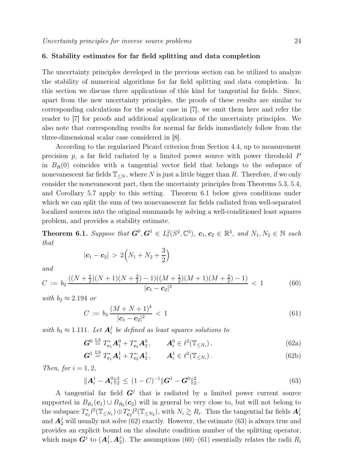# 6. Stability estimates for far field splitting and data completion

The uncertainty principles developed in the previous section can be utilized to analyze the stability of numerical algorithms for far field splitting and data completion. In this section we discuss three applications of this kind for tangential far fields. Since, apart from the new uncertainty principles, the proofs of these results are similar to corresponding calculations for the scalar case in [7], we omit them here and refer the reader to [7] for proofs and additional applications of the uncertainty principles. We also note that corresponding results for normal far fields immediately follow from the three-dimensional scalar case considered in [8].

According to the regularized Picard criterion from Section 4.4, up to measurement precision  $p$ , a far field radiated by a limited power source with power threshold  $P$ in  $B_R(0)$  coincides with a tangential vector field that belongs to the subspace of nonevanescent far fields  $\mathbb{T}_{\leq N}$ , where N is just a little bigger than R. Therefore, if we only consider the nonevanescent part, then the uncertainty principles from Theorems 5.3, 5.4, and Corollary 5.7 apply to this setting. Theorem 6.1 below gives conditions under which we can split the sum of two nonevanescent far fields radiated from well-separated localized sources into the original summands by solving a well-conditioned least squares problem, and provides a stability estimate.

**Theorem 6.1.** Suppose that  $G^0$ ,  $G^1 \in L^2_t(S^2, \mathbb{C}^3)$ ,  $c_1, c_2 \in \mathbb{R}^3$ , and  $N_1, N_2 \in \mathbb{N}$  such that

$$
|\boldsymbol{c}_1 - \boldsymbol{c}_2| > 2(N_1 + N_2 + \frac{3}{2})
$$

and

$$
C := b_2 \frac{((N + \frac{1}{2})(N + 1)(N + \frac{3}{2}) - 1)((M + \frac{1}{2})(M + 1)(M + \frac{3}{2}) - 1)}{|c_1 - c_2|^2} < 1
$$
 (60)

with  $b_2 \approx 2.194$  or

$$
C := b_3 \frac{(M+N+1)^4}{|\mathbf{c}_1 - \mathbf{c}_2|^2} < 1 \tag{61}
$$

with  $b_3 \approx 1.111$ . Let  $A_i^j$  $\frac{1}{i}$  be defined as least squares solutions to

$$
G^{0} \stackrel{\text{LS}}{=} T_{c_1}^* A_1^0 + T_{c_2}^* A_2^0, \qquad A_i^0 \in \ell^2(\mathbb{T}_{\leq N_i}), \qquad (62a)
$$

$$
\mathbf{G}^1 \stackrel{\text{LS}}{=} T_{\mathbf{c}_1}^* \mathbf{A}_1^1 + T_{\mathbf{c}_2}^* \mathbf{A}_2^1, \qquad \mathbf{A}_i^1 \in \ell^2(\mathbb{T}_{\leq N_i}). \tag{62b}
$$

Then, for  $i = 1, 2$ ,

$$
\|\mathbf{A}_i^1 - \mathbf{A}_i^0\|_2^2 \le (1 - C)^{-1} \|\mathbf{G}^1 - \mathbf{G}^0\|_2^2.
$$
 (63)

A tangential far field  $G<sup>j</sup>$  that is radiated by a limited power current source supported in  $B_{R_1}(c_1) \cup B_{R_2}(c_2)$  will in general be very close to, but will not belong to the subspace  $T_{c_1}^* l^2(\mathbb{T}_{\leq N_1}) \oplus T_{c_2}^* l^2(\mathbb{T}_{\leq N_2})$ , with  $N_i \gtrsim R_i$ . Thus the tangential far fields  $A_1^j$ 1 and  $A_2^j$  will usually not solve (62) exactly. However, the estimate (63) is always true and provides an explicit bound on the absolute condition number of the splitting operator, which maps  $G^j$  to  $(A_1^j)$  $_{1}^{j},\boldsymbol{A}_{2}^{j}$ <sup>2</sup><sub>2</sub>). The assumptions (60)–(61) essentially relates the radii  $R_i$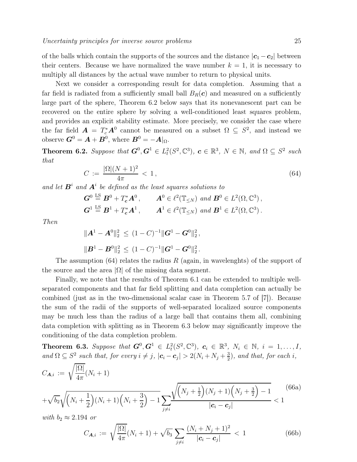of the balls which contain the supports of the sources and the distance  $|c_1 - c_2|$  between their centers. Because we have normalized the wave number  $k = 1$ , it is necessary to multiply all distances by the actual wave number to return to physical units.

Next we consider a corresponding result for data completion. Assuming that a far field is radiated from a sufficiently small ball  $B_R(c)$  and measured on a sufficiently large part of the sphere, Theorem 6.2 below says that its nonevanescent part can be recovered on the entire sphere by solving a well-conditioned least squares problem, and provides an explicit stability estimate. More precisely, we consider the case where the far field  $\mathbf{A} = T_c^* \mathbf{A}^0$  cannot be measured on a subset  $\Omega \subseteq S^2$ , and instead we observe  $G^0 = A + B^0$ , where  $B^0 = -A|_{\Omega}$ .

**Theorem 6.2.** Suppose that  $G^0$ ,  $G^1 \in L^2(\mathbb{S}^2, \mathbb{C}^3)$ ,  $c \in \mathbb{R}^3$ ,  $N \in \mathbb{N}$ , and  $\Omega \subseteq \mathbb{S}^2$  such that

$$
C := \frac{|\Omega|(N+1)^2}{4\pi} < 1,\tag{64}
$$

and let  $\mathbf{B}^i$  and  $\mathbf{A}^i$  be defined as the least squares solutions to

$$
G^0 \stackrel{\text{LS}}{=} B^0 + T_c^* A^0, \qquad A^0 \in \ell^2(\mathbb{T}_{\leq N}) \text{ and } B^0 \in L^2(\Omega, \mathbb{C}^3),
$$
  

$$
G^1 \stackrel{\text{LS}}{=} B^1 + T_c^* A^1, \qquad A^1 \in \ell^2(\mathbb{T}_{\leq N}) \text{ and } B^1 \in L^2(\Omega, \mathbb{C}^3).
$$

Then

$$
\|\mathbf{A}^{1}-\mathbf{A}^{0}\|_{2}^{2} \leq (1-C)^{-1} \|\mathbf{G}^{1}-\mathbf{G}^{0}\|_{2}^{2},
$$
  

$$
\|\mathbf{B}^{1}-\mathbf{B}^{0}\|_{2}^{2} \leq (1-C)^{-1} \|\mathbf{G}^{1}-\mathbf{G}^{0}\|_{2}^{2}.
$$

The assumption  $(64)$  relates the radius R (again, in wavelenghts) of the support of the source and the area  $|\Omega|$  of the missing data segment.

Finally, we note that the results of Theorem 6.1 can be extended to multiple wellseparated components and that far field splitting and data completion can actually be combined (just as in the two-dimensional scalar case in Theorem 5.7 of [7]). Because the sum of the radii of the supports of well-separated localized source components may be much less than the radius of a large ball that contains them all, combining data completion with splitting as in Theorem 6.3 below may significantly improve the conditioning of the data completion problem.

**Theorem 6.3.** Suppose that  $G^0$ ,  $G^1 \in L^2_t(S^2, \mathbb{C}^3)$ ,  $c_i \in \mathbb{R}^3$ ,  $N_i \in \mathbb{N}$ ,  $i = 1, ..., I$ , and  $\Omega \subseteq S^2$  such that, for every  $i \neq j$ ,  $|\boldsymbol{c}_i - \boldsymbol{c}_j| > 2(N_i + N_j + \frac{3}{2})$  $\frac{3}{2}$ ), and that, for each i,

$$
C_{\mathbf{A},i} := \sqrt{\frac{|\Omega|}{4\pi}} (N_i + 1)
$$
  
+  $\sqrt{b_2} \sqrt{\left(N_i + \frac{1}{2}\right)(N_i + 1)\left(N_i + \frac{3}{2}\right) - 1} \sum_{j \neq i} \frac{\sqrt{\left(N_j + \frac{1}{2}\right)(N_j + 1)\left(N_j + \frac{3}{2}\right) - 1}}{|c_i - c_j|} < 1$  (66a)

with  $b_2 \approx 2.194$  or

$$
C_{\mathbf{A},i} := \sqrt{\frac{|\Omega|}{4\pi}} (N_i + 1) + \sqrt{b_3} \sum_{j \neq i} \frac{(N_i + N_j + 1)^2}{|\mathbf{c}_i - \mathbf{c}_j|} < 1 \tag{66b}
$$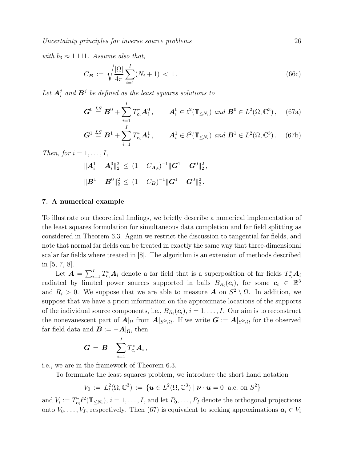with  $b_3 \approx 1.111$ . Assume also that,

$$
C_B := \sqrt{\frac{|\Omega|}{4\pi}} \sum_{i=1}^{I} (N_i + 1) < 1. \tag{66c}
$$

Let  $A_i^j$  $i_i$  and  $\boldsymbol{B}^j$  be defined as the least squares solutions to

$$
\boldsymbol{G}^0 \stackrel{LS}{=} \boldsymbol{B}^0 + \sum_{i=1}^I T_{\boldsymbol{c}_i}^* \boldsymbol{A}_i^0, \qquad \boldsymbol{A}_i^0 \in \ell^2(\mathbb{T}_{\leq N_i}) \text{ and } \boldsymbol{B}^0 \in L^2(\Omega, \mathbb{C}^3), \quad (67a)
$$

$$
\mathbf{G}^1 \stackrel{LS}{=} \mathbf{B}^1 + \sum_{i=1}^I T_{\mathbf{c}_i}^* \mathbf{A}_i^1, \qquad \mathbf{A}_i^1 \in \ell^2(\mathbb{T}_{\leq N_i}) \text{ and } \mathbf{B}^1 \in L^2(\Omega, \mathbb{C}^3). \tag{67b}
$$

Then, for  $i = 1, \ldots, I$ ,

$$
\|\mathbf{A}_i^1 - \mathbf{A}_i^0\|_2^2 \le (1 - C_{\mathbf{A},i})^{-1} \|\mathbf{G}^1 - \mathbf{G}^0\|_2^2,
$$
  

$$
\|\mathbf{B}^1 - \mathbf{B}^0\|_2^2 \le (1 - C_{\mathbf{B}})^{-1} \|\mathbf{G}^1 - \mathbf{G}^0\|_2^2.
$$

#### 7. A numerical example

To illustrate our theoretical findings, we briefly describe a numerical implementation of the least squares formulation for simultaneous data completion and far field splitting as considered in Theorem 6.3. Again we restrict the discussion to tangential far fields, and note that normal far fields can be treated in exactly the same way that three-dimensional scalar far fields where treated in [8]. The algorithm is an extension of methods described in [5, 7, 8].

Let  $\bm{A} = \sum_{i=1}^{I} T_{\bm{c}_i}^* \bm{A}_i$  denote a far field that is a superposition of far fields  $T_{\bm{c}_i}^* \bm{A}_i$ radiated by limited power sources supported in balls  $B_{R_i}(\boldsymbol{c}_i)$ , for some  $\boldsymbol{c}_i \in \mathbb{R}^3$ and  $R_i > 0$ . We suppose that we are able to measure **A** on  $S^2 \setminus \Omega$ . In addition, we suppose that we have a priori information on the approximate locations of the supports of the individual source components, i.e.,  $B_{R_i}(\mathbf{c}_i)$ ,  $i = 1, \ldots, I$ . Our aim is to reconstruct the nonevanescent part of  $A|_{\Omega}$  from  $A|_{S^2\setminus\Omega}$ . If we write  $G := A|_{S^2\setminus\Omega}$  for the observed far field data and  $\mathbf{B} := -\mathbf{A}|_{\Omega}$ , then

$$
\bm{G} \, = \, \bm{B} + \sum_{i=1}^I T_{\bm{c}_i}^* \bm{A}_i \, ,
$$

i.e., we are in the framework of Theorem 6.3.

To formulate the least squares problem, we introduce the short hand notation

$$
V_0 := L_t^2(\Omega, \mathbb{C}^3) := \{ \mathbf{u} \in L^2(\Omega, \mathbb{C}^3) \mid \mathbf{v} \cdot \mathbf{u} = 0 \text{ a.e. on } S^2 \}
$$

and  $V_i := T_{\mathbf{c}_i}^* \ell^2(\mathbb{T}_{\leq N_i}), i = 1, \ldots, I$ , and let  $P_0, \ldots, P_I$  denote the orthogonal projections onto  $V_0, \ldots, V_I$ , respectively. Then (67) is equivalent to seeking approximations  $a_i \in V_i$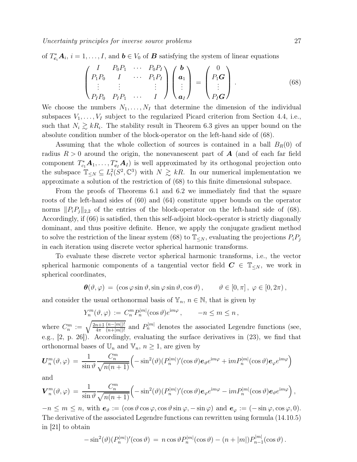of  $T_{c_i}^* A_i$ ,  $i = 1, ..., I$ , and  $b \in V_0$  of  $B$  satisfying the system of linear equations

$$
\begin{pmatrix}\nI & P_0P_1 & \cdots & P_0P_I \\
P_1P_0 & I & \cdots & P_1P_I \\
\vdots & \vdots & & \vdots \\
P_1P_0 & P_1P_1 & \cdots & I\n\end{pmatrix}\n\begin{pmatrix}\n\mathbf{b} \\
\mathbf{a}_1 \\
\vdots \\
\mathbf{a}_I\n\end{pmatrix} =\n\begin{pmatrix}\n0 \\
P_1\mathbf{G} \\
\vdots \\
P_I\mathbf{G}\n\end{pmatrix}.
$$
\n(68)

We choose the numbers  $N_1, \ldots, N_I$  that determine the dimension of the individual subspaces  $V_1, \ldots, V_I$  subject to the regularized Picard criterion from Section 4.4, i.e., such that  $N_i \gtrsim kR_i$ . The stability result in Theorem 6.3 gives an upper bound on the absolute condition number of the block-operator on the left-hand side of (68).

Assuming that the whole collection of sources is contained in a ball  $B_R(0)$  of radius  $R > 0$  around the origin, the nonevanescent part of  $A$  (and of each far field component  $T_{c_1}^*A_1, \ldots, T_{c_I}^*A_I$  is well approximated by its orthogonal projection onto the subspace  $\mathbb{T}_{\leq N} \subseteq L^2_t(S^2, \mathbb{C}^3)$  with  $N \geq kR$ . In our numerical implementation we approximate a solution of the restriction of (68) to this finite dimensional subspace.

From the proofs of Theorems 6.1 and 6.2 we immediately find that the square roots of the left-hand sides of (60) and (64) constitute upper bounds on the operator norms  $||P_iP_j||_{2,2}$  of the entries of the block-operator on the left-hand side of (68). Accordingly, if (66) is satisfied, then this self-adjoint block-operator is strictly diagonally dominant, and thus positive definite. Hence, we apply the conjugate gradient method to solve the restriction of the linear system (68) to  $\mathbb{T}_{\leq N}$ , evaluating the projections  $P_i P_j$ in each iteration using discrete vector spherical harmonic transforms.

To evaluate these discrete vector spherical harmonic transforms, i.e., the vector spherical harmonic components of a tangential vector field  $C \in \mathbb{T}_{\leq N}$ , we work in spherical coordinates,

$$
\boldsymbol{\theta}(\vartheta,\varphi) = (\cos\varphi\sin\vartheta,\sin\varphi\sin\vartheta,\cos\vartheta), \qquad \vartheta \in [0,\pi], \varphi \in [0,2\pi),
$$

and consider the usual orthonormal basis of  $\mathbb{Y}_n$ ,  $n \in \mathbb{N}$ , that is given by

$$
Y_n^m(\vartheta,\varphi) := C_n^m P_n^{|m|}(\cos\vartheta)e^{\mathrm{i}m\varphi}, \qquad -n \le m \le n,
$$

where  $C_n^m := \sqrt{\frac{2n+1}{4\pi} \frac{(n-|m|)!}{(n+|m|)!}}$  and  $P_n^{|m|}$  denotes the associated Legendre functions (see, e.g., [2, p. 26]). Accordingly, evaluating the surface derivatives in (23), we find that orthonormal bases of  $\mathbb{U}_n$  and  $\mathbb{V}_n$ ,  $n \geq 1$ , are given by

$$
\boldsymbol{U}_{n}^{m}(\vartheta,\varphi) = \frac{1}{\sin\vartheta} \frac{C_{n}^{m}}{\sqrt{n(n+1)}} \Big(-\sin^{2}(\vartheta)(P_{n}^{|m|})'(\cos\vartheta)\boldsymbol{e}_{\vartheta}e^{im\varphi} + im P_{n}^{|m|}(\cos\vartheta)\boldsymbol{e}_{\varphi}e^{im\varphi}\Big)
$$

and

$$
\boldsymbol{V}_n^m(\vartheta,\varphi) = \frac{1}{\sin\vartheta} \frac{C_n^m}{\sqrt{n(n+1)}} \Big( -\sin^2(\vartheta) (P_n^{|m|})'(\cos\vartheta) \boldsymbol{e}_{\varphi} e^{\mathrm{i}m\varphi} - \mathrm{i}m P_n^{|m|}(\cos\vartheta) \boldsymbol{e}_{\vartheta} e^{\mathrm{i}m\varphi} \Big),
$$

 $-n \leq m \leq n$ , with  $e_{\vartheta} := (\cos \vartheta \cos \varphi, \cos \vartheta \sin \varphi, -\sin \varphi)$  and  $e_{\varphi} := (-\sin \varphi, \cos \varphi, 0)$ . The derivative of the associated Legendre functions can rewritten using formula (14.10.5) in [21] to obtain

$$
-\sin^2(\vartheta)(P_n^{|m|})'(\cos\vartheta) = n\cos\vartheta P_n^{|m|}(\cos\vartheta) - (n+|m|)P_{n-1}^{|m|}(\cos\vartheta).
$$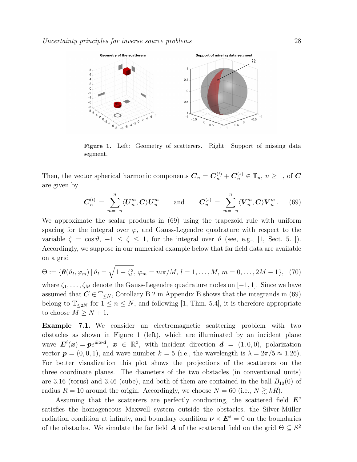

Figure 1. Left: Geometry of scatterers. Right: Support of missing data segment.

Then, the vector spherical harmonic components  $\boldsymbol{C}_n = \boldsymbol{C}_n^{(t)} + \boldsymbol{C}_n^{(s)} \in \mathbb{T}_n$ ,  $n \geq 1$ , of  $\boldsymbol{C}$ are given by

$$
\boldsymbol{C}_n^{(t)} = \sum_{m=-n}^n \langle \boldsymbol{U}_n^m, \boldsymbol{C} \rangle \boldsymbol{U}_n^m \quad \text{and} \quad \boldsymbol{C}_n^{(s)} = \sum_{m=-n}^n \langle \boldsymbol{V}_n^m, \boldsymbol{C} \rangle \boldsymbol{V}_n^m. \quad (69)
$$

We approximate the scalar products in (69) using the trapezoid rule with uniform spacing for the integral over  $\varphi$ , and Gauss-Legendre quadrature with respect to the variable  $\zeta = \cos \vartheta$ ,  $-1 \leq \zeta \leq 1$ , for the integral over  $\vartheta$  (see, e.g., [1, Sect. 5.1]). Accordingly, we suppose in our numerical example below that far field data are available on a grid

$$
\Theta := \{ \boldsymbol{\theta}(\vartheta_l, \varphi_m) \, | \, \vartheta_l = \sqrt{1 - \zeta_l^2}, \, \varphi_m = m\pi/M, \, l = 1, \dots, M, \, m = 0, \dots, 2M - 1 \}, \tag{70}
$$

where  $\zeta_1, \ldots, \zeta_M$  denote the Gauss-Legendre quadrature nodes on [−1, 1]. Since we have assumed that  $C \in \mathbb{T}_{\leq N}$ , Corollary B.2 in Appendix B shows that the integrands in (69) belong to  $\mathbb{T}_{\leq 2N}$  for  $1 \leq n \leq N$ , and following [1, Thm. 5.4], it is therefore appropriate to choose  $M \geq N + 1$ .

Example 7.1. We consider an electromagnetic scattering problem with two obstacles as shown in Figure 1 (left), which are illuminated by an incident plane wave  $\mathbf{E}^{i}(\boldsymbol{x}) = \boldsymbol{p}e^{\mathrm{i}k\boldsymbol{x}\cdot\boldsymbol{d}}, \ \boldsymbol{x} \ \in \ \mathbb{R}^{3}$ , with incident direction  $\boldsymbol{d} = (1,0,0)$ , polarization vector  $p = (0, 0, 1)$ , and wave number  $k = 5$  (i.e., the wavelength is  $\lambda = 2\pi/5 \approx 1.26$ ). For better visualization this plot shows the projections of the scatterers on the three coordinate planes. The diameters of the two obstacles (in conventional units) are 3.16 (torus) and 3.46 (cube), and both of them are contained in the ball  $B_{10}(0)$  of radius  $R = 10$  around the origin. Accordingly, we choose  $N = 60$  (i.e.,  $N \gtrsim kR$ ).

Assuming that the scatterers are perfectly conducting, the scattered field  $E<sup>s</sup>$ satisfies the homogeneous Maxwell system outside the obstacles, the Silver-Müller radiation condition at infinity, and boundary condition  $\nu \times E^s = 0$  on the boundaries of the obstacles. We simulate the far field  $\boldsymbol{A}$  of the scattered field on the grid  $\Theta \subseteq S^2$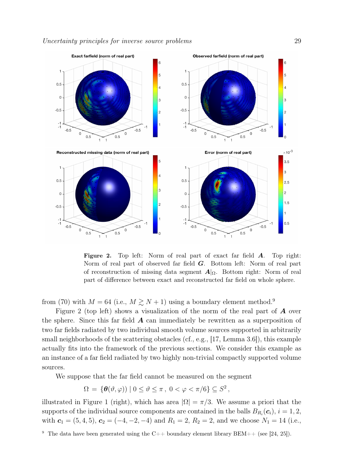

Figure 2. Top left: Norm of real part of exact far field  $\bm{A}$ . Top right: Norm of real part of observed far field G. Bottom left: Norm of real part of reconstruction of missing data segment  $A|_{\Omega}$ . Bottom right: Norm of real part of difference between exact and reconstructed far field on whole sphere.

from (70) with  $M = 64$  (i.e.,  $M \ge N + 1$ ) using a boundary element method.<sup>9</sup>

Figure 2 (top left) shows a visualization of the norm of the real part of  $\boldsymbol{A}$  over the sphere. Since this far field  $\boldsymbol{A}$  can immediately be rewritten as a superposition of two far fields radiated by two individual smooth volume sources supported in arbitrarily small neighborhoods of the scattering obstacles (cf., e.g., [17, Lemma 3.6]), this example actually fits into the framework of the previous sections. We consider this example as an instance of a far field radiated by two highly non-trivial compactly supported volume sources.

We suppose that the far field cannot be measured on the segment

$$
\Omega = \{ \boldsymbol{\theta}(\vartheta,\varphi)) \mid 0 \leq \vartheta \leq \pi, \ 0 < \varphi < \pi/6 \} \subseteq S^2,
$$

illustrated in Figure 1 (right), which has area  $|\Omega| = \pi/3$ . We assume a priori that the supports of the individual source components are contained in the balls  $B_{R_i}(\boldsymbol{c}_i)$ ,  $i = 1, 2$ , with  $c_1 = (5, 4, 5)$ ,  $c_2 = (-4, -2, -4)$  and  $R_1 = 2$ ,  $R_2 = 2$ , and we choose  $N_1 = 14$  (i.e.,

<sup>&</sup>lt;sup>9</sup> The data have been generated using the C++ boundary element library BEM++ (see [24, 25]).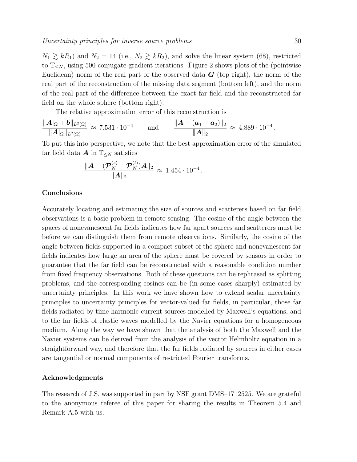$N_1 \gtrsim kR_1$ ) and  $N_2 = 14$  (i.e.,  $N_2 \gtrsim kR_2$ ), and solve the linear system (68), restricted to  $\mathbb{T}_{\leq N}$ , using 500 conjugate gradient iterations. Figure 2 shows plots of the (pointwise Euclidean) norm of the real part of the observed data  $G$  (top right), the norm of the real part of the reconstruction of the missing data segment (bottom left), and the norm of the real part of the difference between the exact far field and the reconstructed far field on the whole sphere (bottom right).

The relative approximation error of this reconstruction is

$$
\frac{\|\mathbf{A}\|_{\Omega} + \mathbf{b}\|_{L^2(\Omega)}}{\|\mathbf{A}\|_{\Omega}\|_{L^2(\Omega)}} \approx 7.531 \cdot 10^{-4} \quad \text{and} \quad \frac{\|\mathbf{A} - (\mathbf{a}_1 + \mathbf{a}_2)\|_2}{\|\mathbf{A}\|_2} \approx 4.889 \cdot 10^{-4}.
$$

To put this into perspective, we note that the best approximation error of the simulated far field data **A** in  $\mathbb{T}_{\leq N}$  satisfies

$$
\frac{\|\boldsymbol{A} - (\boldsymbol{\mathcal{P}}_N^{(s)} + \boldsymbol{\mathcal{P}}_N^{(t)})\boldsymbol{A}\|_2}{\|\boldsymbol{A}\|_2} \approx 1.454 \cdot 10^{-4}.
$$

# Conclusions

Accurately locating and estimating the size of sources and scatterers based on far field observations is a basic problem in remote sensing. The cosine of the angle between the spaces of nonevanescent far fields indicates how far apart sources and scatterers must be before we can distinguish them from remote observations. Similarly, the cosine of the angle between fields supported in a compact subset of the sphere and nonevanescent far fields indicates how large an area of the sphere must be covered by sensors in order to guarantee that the far field can be reconstructed with a reasonable condition number from fixed frequency observations. Both of these questions can be rephrased as splitting problems, and the corresponding cosines can be (in some cases sharply) estimated by uncertainty principles. In this work we have shown how to extend scalar uncertainty principles to uncertainty principles for vector-valued far fields, in particular, those far fields radiated by time harmonic current sources modelled by Maxwell's equations, and to the far fields of elastic waves modelled by the Navier equations for a homogeneous medium. Along the way we have shown that the analysis of both the Maxwell and the Navier systems can be derived from the analysis of the vector Helmholtz equation in a straightforward way, and therefore that the far fields radiated by sources in either cases are tangential or normal components of restricted Fourier transforms.

#### Acknowledgments

The research of J.S. was supported in part by NSF grant DMS–1712525. We are grateful to the anonymous referee of this paper for sharing the results in Theorem 5.4 and Remark A.5 with us.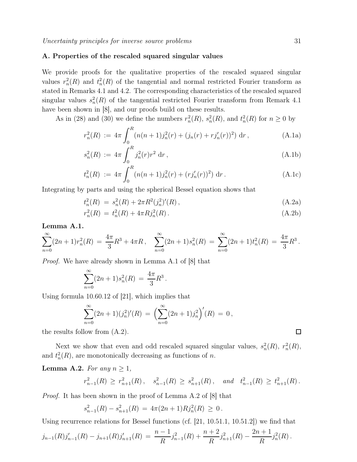# A. Properties of the rescaled squared singular values

We provide proofs for the qualitative properties of the rescaled squared singular values  $r_n^2(R)$  and  $t_n^2(R)$  of the tangential and normal restricted Fourier transform as stated in Remarks 4.1 and 4.2. The corresponding characteristics of the rescaled squared singular values  $s_n^2(R)$  of the tangential restricted Fourier transform from Remark 4.1 have been shown in [8], and our proofs build on these results.

As in (28) and (30) we define the numbers  $r_n^2(R)$ ,  $s_n^2(R)$ , and  $t_n^2(R)$  for  $n \ge 0$  by

$$
r_n^2(R) := 4\pi \int_0^R (n(n+1)j_n^2(r) + (j_n(r) + r j_n'(r))^2) \, dr,
$$
 (A.1a)

$$
s_n^2(R) := 4\pi \int_0^R j_n^2(r)r^2 dr,
$$
 (A.1b)

$$
t_n^2(R) := 4\pi \int_0^R (n(n+1)j_n^2(r) + (rj_n'(r))^2) dr.
$$
 (A.1c)

Integrating by parts and using the spherical Bessel equation shows that

$$
t_n^2(R) = s_n^2(R) + 2\pi R^2(j_n^2)'(R), \qquad (A.2a)
$$

$$
r_n^2(R) = t_n^2(R) + 4\pi R j_n^2(R). \tag{A.2b}
$$

# Lemma A.1.

$$
\sum_{n=0}^{\infty} (2n+1)r_n^2(R) = \frac{4\pi}{3}R^3 + 4\pi R, \quad \sum_{n=0}^{\infty} (2n+1)s_n^2(R) = \sum_{n=0}^{\infty} (2n+1)t_n^2(R) = \frac{4\pi}{3}R^3.
$$

Proof. We have already shown in Lemma A.1 of [8] that

$$
\sum_{n=0}^{\infty} (2n+1)s_n^2(R) = \frac{4\pi}{3}R^3.
$$

Using formula 10.60.12 of [21], which implies that

$$
\sum_{n=0}^{\infty} (2n+1)(j_n^2)'(R) = \left(\sum_{n=0}^{\infty} (2n+1)j_n^2\right)'(R) = 0,
$$

the results follow from (A.2).

Next we show that even and odd rescaled squared singular values,  $s_n^2(R)$ ,  $r_n^2(R)$ , and  $t_n^2(R)$ , are monotonically decreasing as functions of n.

# **Lemma A.2.** For any  $n \geq 1$ ,

$$
r_{n-1}^2(R) \ge r_{n+1}^2(R)
$$
,  $s_{n-1}^2(R) \ge s_{n+1}^2(R)$ , and  $t_{n-1}^2(R) \ge t_{n+1}^2(R)$ .

Proof. It has been shown in the proof of Lemma A.2 of [8] that

$$
s_{n-1}^{2}(R) - s_{n+1}^{2}(R) = 4\pi (2n+1)Rj_{n}^{2}(R) \geq 0.
$$

Using recurrence relations for Bessel functions (cf. [21, 10.51.1, 10.51.2]) we find that

$$
j_{n-1}(R)j'_{n-1}(R) - j_{n+1}(R)j'_{n+1}(R) = \frac{n-1}{R}j_{n-1}^2(R) + \frac{n+2}{R}j_{n+1}^2(R) - \frac{2n+1}{R}j_n^2(R).
$$

 $\Box$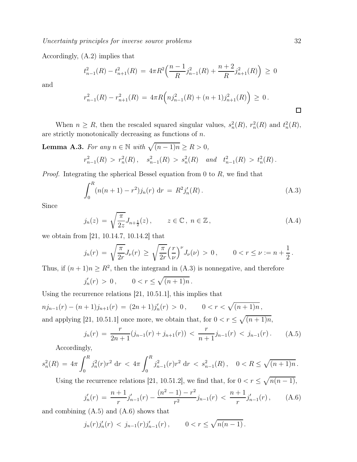Accordingly, (A.2) implies that

$$
t_{n-1}^{2}(R) - t_{n+1}^{2}(R) = 4\pi R^{2} \left(\frac{n-1}{R} j_{n-1}^{2}(R) + \frac{n+2}{R} j_{n+1}^{2}(R)\right) \ge 0
$$

and

$$
r_{n-1}^{2}(R) - r_{n+1}^{2}(R) = 4\pi R \Big( n j_{n-1}^{2}(R) + (n+1) j_{n+1}^{2}(R) \Big) \ge 0.
$$

When  $n \ge R$ , then the rescaled squared singular values,  $s_n^2(R)$ ,  $r_n^2(R)$  and  $t_n^2(R)$ , are strictly monotonically decreasing as functions of n.

**Lemma A.3.** For any  $n \in \mathbb{N}$  with  $\sqrt{(n-1)n} \ge R > 0$ ,

$$
r_{n-1}^2(R) > r_n^2(R)
$$
,  $s_{n-1}^2(R) > s_n^2(R)$  and  $t_{n-1}^2(R) > t_n^2(R)$ .

*Proof.* Integrating the spherical Bessel equation from 0 to  $R$ , we find that

$$
\int_0^R (n(n+1) - r^2) j_n(r) \, \mathrm{d}r = R^2 j'_n(R). \tag{A.3}
$$

Since

$$
j_n(z) = \sqrt{\frac{\pi}{2z}} J_{n + \frac{1}{2}}(z), \qquad z \in \mathbb{C}, \ n \in \mathbb{Z},
$$
\n(A.4)

we obtain from [21, 10.14.7, 10.14.2] that

$$
j_n(r) = \sqrt{\frac{\pi}{2r}} J_{\nu}(r) \ge \sqrt{\frac{\pi}{2r}} {\left(\frac{r}{\nu}\right)}^{\nu} J_{\nu}(\nu) > 0, \qquad 0 < r \le \nu := n + \frac{1}{2}.
$$

Thus, if  $(n+1)n \geq R^2$ , then the integrand in  $(A.3)$  is nonnegative, and therefore

$$
j'_n(r) > 0
$$
,  $0 < r \le \sqrt{(n+1)n}$ .

Using the recurrence relations [21, 10.51.1], this implies that

$$
nj_{n-1}(r) - (n+1)j_{n+1}(r) = (2n+1)j'_n(r) > 0, \qquad 0 < r < \sqrt{(n+1)n},
$$
  
and applying [21, 10.51.1] once more, we obtain that, for  $0 < r \le \sqrt{(n+1)n}$ ,

$$
j_n(r) = \frac{r}{2n+1}(j_{n-1}(r) + j_{n+1}(r)) < \frac{r}{n+1}j_{n-1}(r) < j_{n-1}(r). \tag{A.5}
$$

Accordingly,

$$
s_n^2(R) = 4\pi \int_0^R j_n^2(r) r^2 dr < 4\pi \int_0^R j_{n-1}^2(r) r^2 dr < s_{n-1}^2(R), \quad 0 < R \le \sqrt{(n+1)n}.
$$

Using the recurrence relations [21, 10.51.2], we find that, for  $0 < r \leq \sqrt{n(n-1)}$ ,

$$
j'_n(r) = \frac{n+1}{r} j'_{n-1}(r) - \frac{(n^2-1) - r^2}{r^2} j_{n-1}(r) < \frac{n+1}{r} j'_{n-1}(r) \,, \tag{A.6}
$$

and combining  $(A.5)$  and  $(A.6)$  shows that

$$
j_n(r)j'_n(r) < j_{n-1}(r)j'_{n-1}(r), \qquad 0 < r \le \sqrt{n(n-1)}.
$$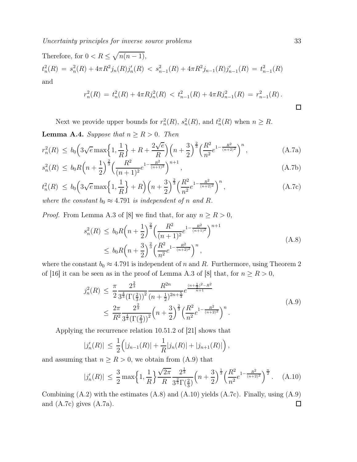Uncertainty principles for inverse source problems 33

Therefore, for  $0 < R \leq \sqrt{n(n-1)}$ ,  $t_n^2(R) = s_n^2(R) + 4\pi R^2 j_n(R) j'_n(R) < s_{n-1}^2(R) + 4\pi R^2 j_{n-1}(R) j'_{n-1}(R) = t_{n-1}^2(R)$ and

$$
r_n^2(R) = t_n^2(R) + 4\pi R j_n^2(R) < t_{n-1}^2(R) + 4\pi R j_{n-1}^2(R) = r_{n-1}^2(R).
$$

Next we provide upper bounds for  $r_n^2(R)$ ,  $s_n^2(R)$ , and  $t_n^2(R)$  when  $n \ge R$ .

**Lemma A.4.** Suppose that  $n \ge R > 0$ . Then

$$
r_n^2(R) \le b_0 \left( 3\sqrt{e} \max\left\{ 1, \frac{1}{R} \right\} + R + \frac{2\sqrt{e}}{R} \right) \left( n + \frac{3}{2} \right)^{\frac{2}{3}} \left( \frac{R^2}{n^2} e^{1 - \frac{R^2}{(n+2)^2}} \right)^n, \tag{A.7a}
$$

$$
s_n^2(R) \le b_0 R \left( n + \frac{1}{2} \right)^{\frac{2}{3}} \left( \frac{R^2}{(n+1)^2} e^{1 - \frac{R^2}{(n+1)^2}} \right)^{n+1},\tag{A.7b}
$$

$$
t_n^2(R) \le b_0 \left( 3\sqrt{e} \max\left\{1, \frac{1}{R}\right\} + R \right) \left( n + \frac{3}{2} \right)^{\frac{2}{3}} \left( \frac{R^2}{n^2} e^{1 - \frac{R^2}{(n+2)^2}} \right)^n,
$$
\n(A.7c)

\nwhere the constant  $b_n \approx 4.791$  is independent of *n* and *R*

where the constant  $b_0 \approx 4.791$  is independent of n and R.

*Proof.* From Lemma A.3 of [8] we find that, for any  $n \ge R > 0$ ,

$$
s_n^2(R) \le b_0 R \left( n + \frac{1}{2} \right)^{\frac{2}{3}} \left( \frac{R^2}{(n+1)^2} e^{1 - \frac{R^2}{(n+1)^2}} \right)^{n+1}
$$
  
 
$$
\le b_0 R \left( n + \frac{3}{2} \right)^{\frac{2}{3}} \left( \frac{R^2}{n^2} e^{1 - \frac{R^2}{(n+2)^2}} \right)^n,
$$
 (A.8)

where the constant  $b_0 \approx 4.791$  is independent of n and R. Furthermore, using Theorem 2 of [16] it can be seen as in the proof of Lemma A.3 of [8] that, for  $n \ge R > 0$ ,

$$
j_n^2(R) \le \frac{\pi}{2} \frac{2^{\frac{2}{3}}}{3^{\frac{4}{3}} (\Gamma(\frac{2}{3}))^2} \frac{R^{2n}}{(n+\frac{1}{2})^{2n+\frac{5}{3}}} e^{\frac{(n+\frac{1}{2})^2 - R^2}{n+1}}
$$
  

$$
\le \frac{2\pi}{R^2} \frac{2^{\frac{2}{3}}}{3^{\frac{4}{3}} (\Gamma(\frac{2}{3}))^2} \left(n+\frac{3}{2}\right)^{\frac{2}{3}} \left(\frac{R^2}{n^2} e^{1-\frac{R^2}{(n+2)^2}}\right)^n.
$$
 (A.9)

Applying the recurrence relation 10.51.2 of [21] shows that

$$
|j'_n(R)| \leq \frac{1}{2} (|j_{n-1}(R)| + \frac{1}{R}|j_n(R)| + |j_{n+1}(R)|)
$$

and assuming that  $n \ge R > 0$ , we obtain from (A.9) that

$$
|j_n'(R)| \le \frac{3}{2} \max\left\{1, \frac{1}{R}\right\} \frac{\sqrt{2\pi}}{R} \frac{2^{\frac{1}{3}}}{3^{\frac{2}{3}} \Gamma(\frac{2}{3})} \left(n + \frac{3}{2}\right)^{\frac{1}{3}} \left(\frac{R^2}{n^2} e^{1 - \frac{R^2}{(n+2)^2}}\right)^{\frac{n}{2}}.
$$
 (A.10)

,

Combining  $(A.2)$  with the estimates  $(A.8)$  and  $(A.10)$  yields  $(A.7c)$ . Finally, using  $(A.9)$ and (A.7c) gives (A.7a). $\Box$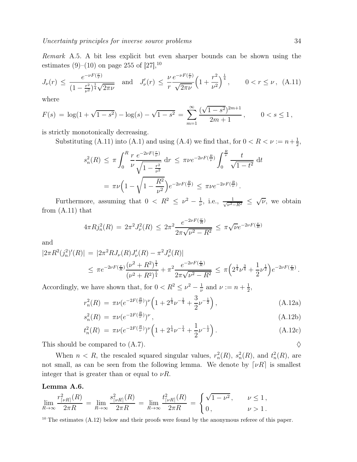Remark A.5. A bit less explicit but even sharper bounds can be shown using the estimates (9)–(10) on page 255 of [27],<sup>10</sup>

$$
J_{\nu}(r) \le \frac{e^{-\nu F(\frac{\nu}{r})}}{(1 - \frac{r^2}{\nu^2})^{\frac{1}{4}}\sqrt{2\pi\nu}} \quad \text{and} \quad J_{\nu}'(r) \le \frac{\nu}{r} \frac{e^{-\nu F(\frac{\nu}{r})}}{\sqrt{2\pi\nu}} \left(1 + \frac{r^2}{\nu^2}\right)^{\frac{1}{4}}, \qquad 0 < r \le \nu \,, \tag{A.11}
$$

where

$$
F(s) = \log(1 + \sqrt{1 - s^2}) - \log(s) - \sqrt{1 - s^2} = \sum_{m=1}^{\infty} \frac{(\sqrt{1 - s^2})^{2m+1}}{2m+1}, \qquad 0 < s \le 1,
$$

is strictly monotonically decreasing.

Substituting (A.11) into (A.1) and using (A.4) we find that, for  $0 < R < \nu := n + \frac{1}{2}$  $\frac{1}{2}$ ,

$$
s_n^2(R) \le \pi \int_0^R \frac{r}{\nu} \frac{e^{-2\nu F(\frac{r}{\nu})}}{\sqrt{1 - \frac{r^2}{\nu^2}}} dr \le \pi \nu e^{-2\nu F(\frac{R}{\nu})} \int_0^{\frac{R}{\nu}} \frac{t}{\sqrt{1 - t^2}} dt
$$
  
=  $\pi \nu \left(1 - \sqrt{1 - \frac{R^2}{\nu^2}}\right) e^{-2\nu F(\frac{R}{\nu})} \le \pi \nu e^{-2\nu F(\frac{R}{\nu})}.$ 

Furthermore, assuming that  $0 \leq R^2 \leq \nu^2 - \frac{1}{\nu}$  $\frac{1}{\nu}$ , i.e.,  $\frac{1}{\sqrt{\nu^2-1}}$  $\frac{1}{\nu^2 - R^2} \leq$  $\sqrt{\nu}$ , we obtain from (A.11) that

$$
4\pi R j_n^2(R) = 2\pi^2 J_\nu^2(R) \le 2\pi^2 \frac{e^{-2\nu F(\frac{\nu}{R})}}{2\pi\sqrt{\nu^2 - R^2}} \le \pi\sqrt{\nu}e^{-2\nu F(\frac{\nu}{R})}
$$

and

$$
|2\pi R^2(j_n^2)'(R)| = |2\pi^2 R J_\nu(R) J'_\nu(R) - \pi^2 J_\nu^2(R)|
$$
  

$$
\leq \pi e^{-2\nu F(\frac{\nu}{R})} \frac{(\nu^2 + R^2)^{\frac{1}{4}}}{(\nu^2 + R^2)^{\frac{1}{4}}} + \pi^2 \frac{e^{-2\nu F(\frac{\nu}{R})}}{2\pi \sqrt{\nu^2 - R^2}} \leq \pi \left(2^{\frac{1}{4}} \nu^{\frac{3}{4}} + \frac{1}{2} \nu^{\frac{1}{2}}\right) e^{-2\nu F(\frac{\nu}{R})}.
$$

Accordingly, we have shown that, for  $0 < R^2 \leq \nu^2 - \frac{1}{\nu}$  $\frac{1}{\nu}$  and  $\nu := n + \frac{1}{2}$  $\frac{1}{2}$ ,

$$
r_n^2(R) = \pi \nu (e^{-2F(\frac{R}{\nu})})^{\nu} \left(1 + 2^{\frac{1}{4}} \nu^{-\frac{1}{4}} + \frac{3}{2} \nu^{-\frac{1}{2}}\right), \tag{A.12a}
$$

$$
s_n^2(R) = \pi \nu (e^{-2F(\frac{R}{\nu})})^{\nu}, \tag{A.12b}
$$

$$
t_n^2(R) = \pi \nu (e^{-2F(\frac{R}{\nu})})^{\nu} \left(1 + 2^{\frac{1}{4}} \nu^{-\frac{1}{4}} + \frac{1}{2} \nu^{-\frac{1}{2}}\right).
$$
 (A.12c)

This should be compared to  $(A.7)$ .

When  $n < R$ , the rescaled squared singular values,  $r_n^2(R)$ ,  $s_n^2(R)$ , and  $t_n^2(R)$ , are not small, as can be seen from the following lemma. We denote by  $[\nu R]$  is smallest integer that is greater than or equal to  $\nu R$ .

# Lemma A.6.

$$
\lim_{R \to \infty} \frac{r_{\lfloor \nu R \rfloor}^2(R)}{2 \pi R} = \lim_{R \to \infty} \frac{s_{\lfloor \nu R \rfloor}^2(R)}{2 \pi R} = \lim_{R \to \infty} \frac{t_{\lfloor \nu R \rfloor}^2(R)}{2 \pi R} = \begin{cases} \sqrt{1 - \nu^2}, & \nu \leq 1, \\ 0, & \nu > 1. \end{cases}
$$

 $10$  The estimates (A.12) below and their proofs were found by the anonymous referee of this paper.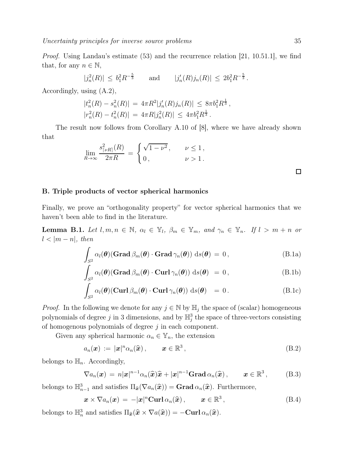*Proof.* Using Landau's estimate (53) and the recurrence relation [21, 10.51.1], we find that, for any  $n \in \mathbb{N}$ ,

$$
|j_n^2(R)| \le b_1^2 R^{-\frac{5}{3}} \quad \text{and} \quad |j_n'(R)j_n(R)| \le 2b_1^2 R^{-\frac{5}{3}}.
$$

Accordingly, using (A.2),

$$
|t_n^2(R) - s_n^2(R)| = 4\pi R^2 |j_n'(R)j_n(R)| \leq 8\pi b_1^2 R^{\frac{1}{3}},
$$
  

$$
|r_n^2(R) - t_n^2(R)| = 4\pi R |j_n^2(R)| \leq 4\pi b_1^2 R^{\frac{1}{3}}.
$$

The result now follows from Corollary A.10 of [8], where we have already shown that

$$
\lim_{R \to \infty} \frac{s_{\lceil \nu R \rceil}^2(R)}{2\pi R} = \begin{cases} \sqrt{1 - \nu^2}, & \nu \le 1, \\ 0, & \nu > 1. \end{cases}
$$

B. Triple products of vector spherical harmonics

Finally, we prove an "orthogonality property" for vector spherical harmonics that we haven't been able to find in the literature.

**Lemma B.1.** Let  $l, m, n \in \mathbb{N}$ ,  $\alpha_l \in \mathbb{Y}_l$ ,  $\beta_m \in \mathbb{Y}_m$ , and  $\gamma_n \in \mathbb{Y}_n$ . If  $l > m + n$  or  $l < |m - n|$ , then

$$
\int_{S^2} \alpha_l(\boldsymbol{\theta}) (\mathbf{Grad} \,\beta_m(\boldsymbol{\theta}) \cdot \mathbf{Grad} \,\gamma_n(\boldsymbol{\theta})) \, \mathrm{d}s(\boldsymbol{\theta}) \, = \, 0 \,, \tag{B.1a}
$$

$$
\int_{S^2} \alpha_l(\boldsymbol{\theta}) (\mathbf{Grad} \,\beta_m(\boldsymbol{\theta}) \cdot \mathbf{Curl} \,\gamma_n(\boldsymbol{\theta})) \, \mathrm{d}s(\boldsymbol{\theta}) = 0, \tag{B.1b}
$$

$$
\int_{S^2} \alpha_l(\boldsymbol{\theta}) (\mathbf{Curl}\,\beta_m(\boldsymbol{\theta}) \cdot \mathbf{Curl}\,\gamma_n(\boldsymbol{\theta})) \, \mathrm{d}s(\boldsymbol{\theta}) = 0. \tag{B.1c}
$$

*Proof.* In the following we denote for any  $j \in \mathbb{N}$  by  $\mathbb{H}_j$  the space of (scalar) homogeneous polynomials of degree j in 3 dimensions, and by  $\mathbb{H}^3_j$  the space of three-vectors consisting of homogenous polynomials of degree  $j$  in each component.

Given any spherical harmonic  $\alpha_n \in \mathbb{Y}_n$ , the extension

 $a_n(\boldsymbol{x}) \,:=\, |\boldsymbol{x}|^n \alpha_n(\widehat{\boldsymbol{x}})\,, \qquad \boldsymbol{x}\in \mathbb{R}^3$  $(B.2)$ 

belongs to  $\mathbb{H}_n$ . Accordingly,

$$
\nabla a_n(\boldsymbol{x}) = n|\boldsymbol{x}|^{n-1}\alpha_n(\widehat{\boldsymbol{x}})\widehat{\boldsymbol{x}} + |\boldsymbol{x}|^{n-1}\mathbf{Grad}\,\alpha_n(\widehat{\boldsymbol{x}}), \qquad \boldsymbol{x} \in \mathbb{R}^3, \qquad (B.3)
$$

belongs to  $\mathbb{H}_{n-1}^3$  and satisfies  $\Pi_{\hat{\bm{x}}}(\nabla a_n(\hat{\bm{x}})) = \mathbf{Grad}\,\alpha_n(\hat{\bm{x}})$ . Furthermore,

$$
\boldsymbol{x} \times \nabla a_n(\boldsymbol{x}) = -|\boldsymbol{x}|^n \text{Curl}\, \alpha_n(\widehat{\boldsymbol{x}}), \qquad \boldsymbol{x} \in \mathbb{R}^3, \tag{B.4}
$$

belongs to  $\mathbb{H}_n^3$  and satisfies  $\Pi_{\hat{\bm{x}}}(\hat{\bm{x}} \times \nabla a(\hat{\bm{x}})) = -\textbf{Curl}\,\alpha_n(\hat{\bm{x}}).$ 

 $\Box$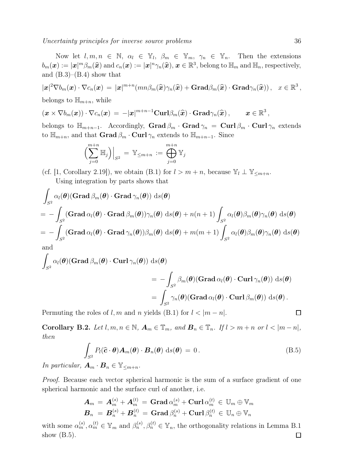$\Box$ 

Now let  $l, m, n \in \mathbb{N}$ ,  $\alpha_l \in \mathbb{Y}_l$ ,  $\beta_m \in \mathbb{Y}_m$ ,  $\gamma_n \in \mathbb{Y}_n$ . Then the extensions  $b_m(\boldsymbol{x}) := |\boldsymbol{x}|^m \beta_m(\widehat{\boldsymbol{x}})$  and  $c_n(\boldsymbol{x}) := |\boldsymbol{x}|^n \gamma_n(\widehat{\boldsymbol{x}}), \boldsymbol{x} \in \mathbb{R}^3$ , belong to  $\mathbb{H}_m$  and  $\mathbb{H}_n$ , respectively, and  $(B.3)$ – $(B.4)$  show that

$$
|\boldsymbol{x}|^2 \nabla b_m(\boldsymbol{x}) \cdot \nabla c_n(\boldsymbol{x}) = |\boldsymbol{x}|^{m+n} (mn\beta_m(\widehat{\boldsymbol{x}})\gamma_n(\widehat{\boldsymbol{x}})+\mathbf{Grad}\beta_m(\widehat{\boldsymbol{x}})\cdot \mathbf{Grad}\gamma_n(\widehat{\boldsymbol{x}})),\ \ x\in\mathbb{R}^3,
$$

belongs to  $\mathbb{H}_{m+n}$ , while

$$
(\boldsymbol x \times \nabla b_m(\boldsymbol x)) \cdot \nabla c_n(\boldsymbol x) \,=\, - |\boldsymbol x|^{m+n-1} \text{\bf Curl} \beta_m(\widehat{\boldsymbol x}) \cdot \text{\bf Grad} \gamma_n(\widehat{\boldsymbol x})\,, \qquad \boldsymbol x \in \mathbb R^3\,,
$$

belongs to  $\mathbb{H}_{m+n-1}$ . Accordingly, **Grad**  $\beta_m \cdot$  **Grad**  $\gamma_n =$  **Curl**  $\beta_m \cdot$  **Curl**  $\gamma_n$  extends to  $\mathbb{H}_{m+n}$ , and that **Grad**  $\beta_m \cdot$ **Curl**  $\gamma_n$  extends to  $\mathbb{H}_{m+n-1}$ . Since

$$
\left(\sum_{j=0}^{m+n} \mathbb{H}_j\right)\Big|_{S^2} = \mathbb{Y}_{\leq m+n} := \bigoplus_{j=0}^{m+n} \mathbb{Y}_j
$$

(cf. [1, Corollary 2.19]), we obtain (B.1) for  $l > m + n$ , because  $\mathbb{Y}_l \perp \mathbb{Y}_{\leq m+n}$ . Using integration by parts shows that

$$
\int_{S^2} \alpha_l(\boldsymbol{\theta}) (\operatorname{Grad}\beta_m(\boldsymbol{\theta}) \cdot \operatorname{Grad}\gamma_n(\boldsymbol{\theta})) \, ds(\boldsymbol{\theta})
$$
\n
$$
= - \int_{S^2} (\operatorname{Grad}\alpha_l(\boldsymbol{\theta}) \cdot \operatorname{Grad}\beta_m(\boldsymbol{\theta})) \gamma_n(\boldsymbol{\theta}) \, ds(\boldsymbol{\theta}) + n(n+1) \int_{S^2} \alpha_l(\boldsymbol{\theta}) \beta_m(\boldsymbol{\theta}) \gamma_n(\boldsymbol{\theta}) \, ds(\boldsymbol{\theta})
$$
\n
$$
= - \int_{S^2} (\operatorname{Grad}\alpha_l(\boldsymbol{\theta}) \cdot \operatorname{Grad}\gamma_n(\boldsymbol{\theta})) \beta_m(\boldsymbol{\theta}) \, ds(\boldsymbol{\theta}) + m(m+1) \int_{S^2} \alpha_l(\boldsymbol{\theta}) \beta_m(\boldsymbol{\theta}) \gamma_n(\boldsymbol{\theta}) \, ds(\boldsymbol{\theta})
$$
\nand

$$
\int_{S^2} \alpha_l(\boldsymbol{\theta}) (\mathbf{Grad} \,\beta_m(\boldsymbol{\theta}) \cdot \mathbf{Curl} \,\gamma_n(\boldsymbol{\theta})) \,\, \mathrm{d}s(\boldsymbol{\theta})
$$

$$
= -\int_{S^2} \beta_m(\boldsymbol{\theta}) (\operatorname{Grad} \alpha_l(\boldsymbol{\theta}) \cdot \operatorname{Curl} \gamma_n(\boldsymbol{\theta})) \; \mathrm{d}s(\boldsymbol{\theta}) \\ = \int_{S^2} \gamma_n(\boldsymbol{\theta}) (\operatorname{Grad} \alpha_l(\boldsymbol{\theta}) \cdot \operatorname{Curl} \beta_m(\boldsymbol{\theta})) \; \mathrm{d}s(\boldsymbol{\theta}) \, .
$$

Permuting the roles of l, m and n yields (B.1) for  $l < |m - n|$ .

Corollary B.2. Let  $l, m, n \in \mathbb{N}$ ,  $\mathbf{A}_m \in \mathbb{T}_m$ , and  $\mathbf{B}_n \in \mathbb{T}_n$ . If  $l > m + n$  or  $l < |m - n|$ , then

$$
\int_{S^2} P_l(\hat{\mathbf{c}} \cdot \boldsymbol{\theta}) \mathbf{A}_m(\boldsymbol{\theta}) \cdot \mathbf{B}_n(\boldsymbol{\theta}) \, ds(\boldsymbol{\theta}) = 0.
$$
\n(B.5)

In particular,  $\mathbf{A}_m \cdot \mathbf{B}_n \in \mathbb{Y}_{\leq m+n}$ .

Proof. Because each vector spherical harmonic is the sum of a surface gradient of one spherical harmonic and the surface curl of another, i.e.

$$
\begin{array}{l} \boldsymbol{A}_{m} \,=\, \boldsymbol{A}^{(s)}_{m} + \boldsymbol{A}^{(t)}_{m} \,=\, \boldsymbol{\mathrm{Grad}}\,\alpha^{(s)}_{m} + \boldsymbol{\mathrm{Curl}}\,\alpha^{(t)}_{m} \,\in\, \mathbb{U}_{m} \oplus \mathbb{V}_{m} \\ \boldsymbol{B}_{n} \,=\, \boldsymbol{B}^{(s)}_{n} + \boldsymbol{B}^{(t)}_{n} \,=\, \boldsymbol{\mathrm{Grad}}\,\beta^{(s)}_{n} + \boldsymbol{\mathrm{Curl}}\,\beta^{(t)}_{n} \,\in\, \mathbb{U}_{n} \oplus \mathbb{V}_{n} \end{array}
$$

with some  $\alpha_m^{(s)}, \alpha_m^{(t)} \in \mathbb{Y}_m$  and  $\beta_n^{(s)}, \beta_n^{(t)} \in \mathbb{Y}_n$ , the orthogonality relations in Lemma B.1 show  $(B.5)$ .  $\Box$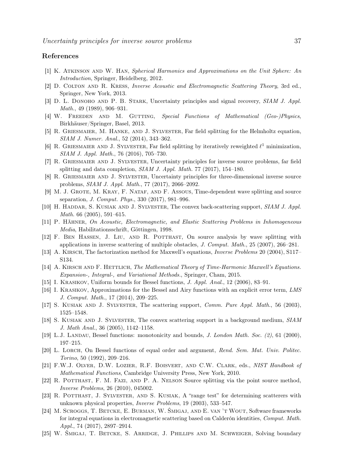# References

- [1] K. Atkinson and W. Han, *Spherical Harmonics and Approximations on the Unit Sphere: An Introduction*, Springer, Heidelberg, 2012.
- [2] D. Colton and R. Kress, *Inverse Acoustic and Electromagnetic Scattering Theory*, 3rd ed., Springer, New York, 2013.
- [3] D. L. Donoho and P. B. Stark, Uncertainty principles and signal recovery, *SIAM J. Appl. Math.*, 49 (1989), 906–931.
- [4] W. Freeden and M. Gutting, *Special Functions of Mathematical (Geo-)Physics*, Birkhäuser/Springer, Basel, 2013.
- [5] R. Griesmaier, M. Hanke, and J. Sylvester, Far field splitting for the Helmholtz equation, *SIAM J. Numer. Anal.*, 52 (2014), 343–362.
- [6] R. GRIESMAIER AND J. SYLVESTER, Far field splitting by iteratively reweighted  $\ell^1$  minimization, *SIAM J. Appl. Math.*, 76 (2016), 705–730.
- [7] R. Griesmaier and J. Sylvester, Uncertainty principles for inverse source problems, far field splitting and data completion, *SIAM J. Appl. Math.* 77 (2017), 154–180.
- [8] R. Griesmaier and J. Sylvester, Uncertainty principles for three-dimensional inverse source problems, *SIAM J. Appl. Math.*, 77 (2017), 2066–2092.
- [9] M. J. GROTE, M. KRAY, F. NATAF, AND F. ASSOUS, Time-dependent wave splitting and source separation, *J. Comput. Phys.*, 330 (2017), 981–996.
- [10] H. Haddar, S. Kusiak and J. Sylvester, The convex back-scattering support, *SIAM J. Appl. Math.* 66 (2005), 591–615.
- [11] P. Hähner, *On Acoustic, Electromagnetic, and Elastic Scattering Problems in Inhomogeneous Media*, Habilitationsschrift, Göttingen, 1998.
- [12] F. Ben Hassen, J. Liu, and R. Potthast, On source analysis by wave splitting with applications in inverse scattering of multiple obstacles, *J. Comput. Math.*, 25 (2007), 266–281.
- [13] A. Kirsch, The factorization method for Maxwell's equations, *Inverse Problems* 20 (2004), S117– S134.
- [14] A. Kirsch and F. Hettlich, *The Mathematical Theory of Time-Harmonic Maxwell's Equations. Expansion-, Integral-, and Variational Methods.*, Springer, Cham, 2015.
- [15] I. Krasikov, Uniform bounds for Bessel functions, *J. Appl. Anal.*, 12 (2006), 83–91.
- [16] I. Krasikov, Approximations for the Bessel and Airy functions with an explicit error term, *LMS J. Comput. Math.*, 17 (2014), 209–225.
- [17] S. Kusiak and J. Sylvester, The scattering support, *Comm. Pure Appl. Math.*, 56 (2003), 1525–1548.
- [18] S. Kusiak and J. Sylvester, The convex scattering support in a background medium, *SIAM J. Math Anal.*, 36 (2005), 1142–1158.
- [19] L.J. Landau, Bessel functions: monotonicity and bounds, *J. London Math. Soc. (2)*, 61 (2000), 197–215.
- [20] L. Lorch, On Bessel functions of equal order and argument, *Rend. Sem. Mat. Univ. Politec. Torino*, 50 (1992), 209–216.
- [21] F.W.J. Olver, D.W. Lozier, R.F. Boisvert, and C.W. Clark, eds., *NIST Handbook of Mathematical Functions*, Cambridge University Press, New York, 2010.
- [22] R. Potthast, F. M. Fazi, and P. A. Nelson Source splitting via the point source method, *Inverse Problems*, 26 (2010), 045002.
- [23] R. Potthast, J. Sylvester, and S. Kusiak, A "range test" for determining scatterers with unknown physical properties, *Inverse Problems*, 19 (2003), 533–547.
- [24] M. Scroggs, T. Betcke, E. Burman, W. Śmigaj, and E. van 't Wout, Software frameworks for integral equations in electromagnetic scattering based on Calderón identities, *Comput. Math. Appl.*, 74 (2017), 2897–2914.
- [25] W. Śmigaj, T. Betcke, S. Arridge, J. Phillips and M. Schweiger, Solving boundary